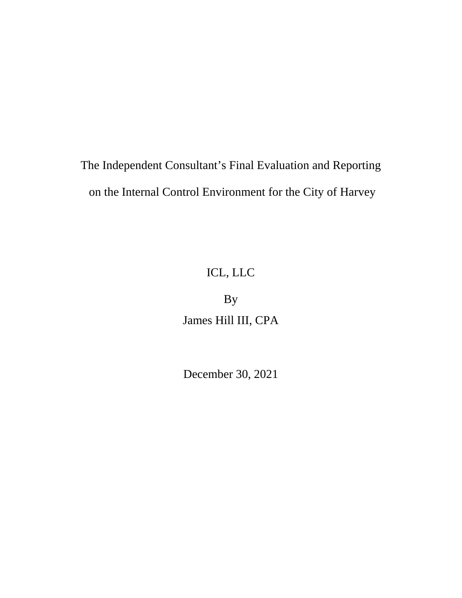# The Independent Consultant's Final Evaluation and Reporting on the Internal Control Environment for the City of Harvey

# ICL, LLC

By James Hill III, CPA

December 30, 2021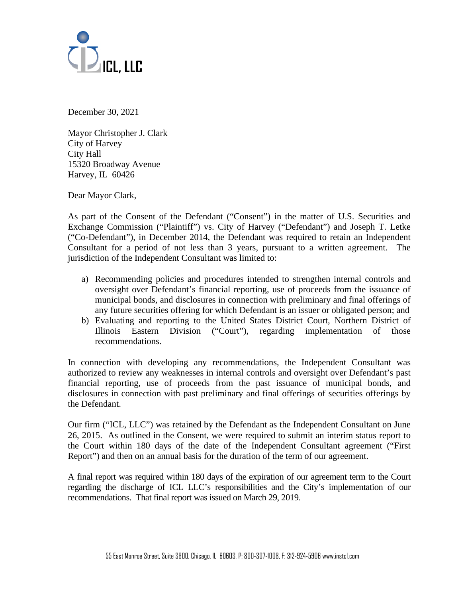

December 30, 2021

Mayor Christopher J. Clark City of Harvey City Hall 15320 Broadway Avenue Harvey, IL 60426

Dear Mayor Clark,

As part of the Consent of the Defendant ("Consent") in the matter of U.S. Securities and Exchange Commission ("Plaintiff") vs. City of Harvey ("Defendant") and Joseph T. Letke ("Co-Defendant"), in December 2014, the Defendant was required to retain an Independent Consultant for a period of not less than 3 years, pursuant to a written agreement. The jurisdiction of the Independent Consultant was limited to:

- a) Recommending policies and procedures intended to strengthen internal controls and oversight over Defendant's financial reporting, use of proceeds from the issuance of municipal bonds, and disclosures in connection with preliminary and final offerings of any future securities offering for which Defendant is an issuer or obligated person; and
- b) Evaluating and reporting to the United States District Court, Northern District of Illinois Eastern Division ("Court"), regarding implementation of those recommendations.

In connection with developing any recommendations, the Independent Consultant was authorized to review any weaknesses in internal controls and oversight over Defendant's past financial reporting, use of proceeds from the past issuance of municipal bonds, and disclosures in connection with past preliminary and final offerings of securities offerings by the Defendant.

Our firm ("ICL, LLC") was retained by the Defendant as the Independent Consultant on June 26, 2015. As outlined in the Consent, we were required to submit an interim status report to the Court within 180 days of the date of the Independent Consultant agreement ("First Report") and then on an annual basis for the duration of the term of our agreement.

A final report was required within 180 days of the expiration of our agreement term to the Court regarding the discharge of ICL LLC's responsibilities and the City's implementation of our recommendations. That final report was issued on March 29, 2019.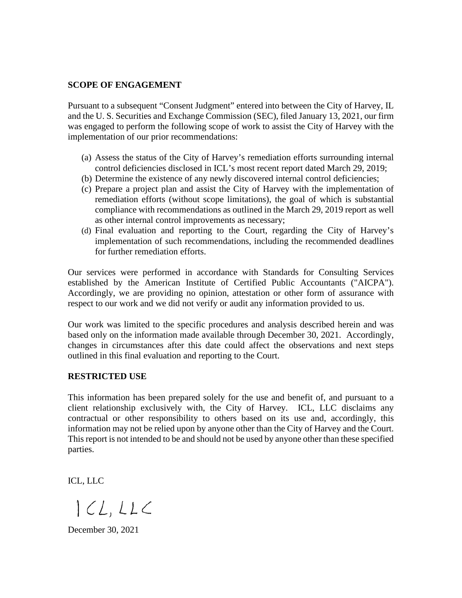## **SCOPE OF ENGAGEMENT**

Pursuant to a subsequent "Consent Judgment" entered into between the City of Harvey, IL and the U. S. Securities and Exchange Commission (SEC), filed January 13, 2021, our firm was engaged to perform the following scope of work to assist the City of Harvey with the implementation of our prior recommendations:

- (a) Assess the status of the City of Harvey's remediation efforts surrounding internal control deficiencies disclosed in ICL's most recent report dated March 29, 2019;
- (b) Determine the existence of any newly discovered internal control deficiencies;
- (c) Prepare a project plan and assist the City of Harvey with the implementation of remediation efforts (without scope limitations), the goal of which is substantial compliance with recommendations as outlined in the March 29, 2019 report as well as other internal control improvements as necessary;
- (d) Final evaluation and reporting to the Court, regarding the City of Harvey's implementation of such recommendations, including the recommended deadlines for further remediation efforts.

Our services were performed in accordance with Standards for Consulting Services established by the American Institute of Certified Public Accountants ("AICPA"). Accordingly, we are providing no opinion, attestation or other form of assurance with respect to our work and we did not verify or audit any information provided to us.

Our work was limited to the specific procedures and analysis described herein and was based only on the information made available through December 30, 2021. Accordingly, changes in circumstances after this date could affect the observations and next steps outlined in this final evaluation and reporting to the Court.

### **RESTRICTED USE**

This information has been prepared solely for the use and benefit of, and pursuant to a client relationship exclusively with, the City of Harvey. ICL, LLC disclaims any contractual or other responsibility to others based on its use and, accordingly, this information may not be relied upon by anyone other than the City of Harvey and the Court. This report is not intended to be and should not be used by anyone other than these specified parties.

ICL, LLC

 $|CL,LLC$ 

December 30, 2021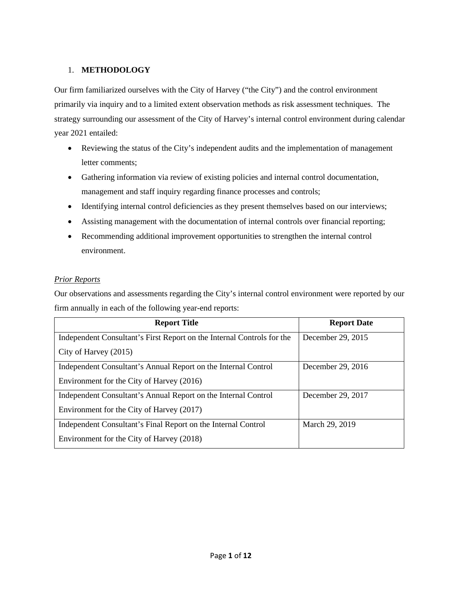### 1. **METHODOLOGY**

Our firm familiarized ourselves with the City of Harvey ("the City") and the control environment primarily via inquiry and to a limited extent observation methods as risk assessment techniques. The strategy surrounding our assessment of the City of Harvey's internal control environment during calendar year 2021 entailed:

- Reviewing the status of the City's independent audits and the implementation of management letter comments;
- Gathering information via review of existing policies and internal control documentation, management and staff inquiry regarding finance processes and controls;
- Identifying internal control deficiencies as they present themselves based on our interviews;
- Assisting management with the documentation of internal controls over financial reporting;
- Recommending additional improvement opportunities to strengthen the internal control environment.

#### *Prior Reports*

Our observations and assessments regarding the City's internal control environment were reported by our firm annually in each of the following year-end reports:

| <b>Report Title</b>                                                    | <b>Report Date</b> |  |
|------------------------------------------------------------------------|--------------------|--|
| Independent Consultant's First Report on the Internal Controls for the | December 29, 2015  |  |
| City of Harvey (2015)                                                  |                    |  |
| Independent Consultant's Annual Report on the Internal Control         | December 29, 2016  |  |
| Environment for the City of Harvey (2016)                              |                    |  |
| Independent Consultant's Annual Report on the Internal Control         | December 29, 2017  |  |
| Environment for the City of Harvey (2017)                              |                    |  |
| Independent Consultant's Final Report on the Internal Control          | March 29, 2019     |  |
| Environment for the City of Harvey (2018)                              |                    |  |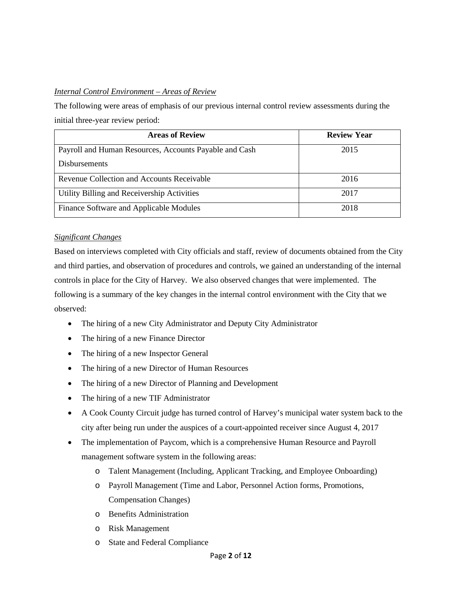## *Internal Control Environment – Areas of Review*

The following were areas of emphasis of our previous internal control review assessments during the initial three-year review period:

| <b>Areas of Review</b>                                 | <b>Review Year</b> |
|--------------------------------------------------------|--------------------|
| Payroll and Human Resources, Accounts Payable and Cash | 2015               |
| <b>Disbursements</b>                                   |                    |
| Revenue Collection and Accounts Receivable             | 2016               |
| Utility Billing and Receivership Activities            | 2017               |
| Finance Software and Applicable Modules                | 2018               |

## *Significant Changes*

Based on interviews completed with City officials and staff, review of documents obtained from the City and third parties, and observation of procedures and controls, we gained an understanding of the internal controls in place for the City of Harvey. We also observed changes that were implemented. The following is a summary of the key changes in the internal control environment with the City that we observed:

- The hiring of a new City Administrator and Deputy City Administrator
- The hiring of a new Finance Director
- The hiring of a new Inspector General
- The hiring of a new Director of Human Resources
- The hiring of a new Director of Planning and Development
- The hiring of a new TIF Administrator
- A Cook County Circuit judge has turned control of Harvey's municipal water system back to the city after being run under the auspices of a court-appointed receiver since August 4, 2017
- The implementation of Paycom, which is a comprehensive Human Resource and Payroll management software system in the following areas:
	- o Talent Management (Including, Applicant Tracking, and Employee Onboarding)
	- o Payroll Management (Time and Labor, Personnel Action forms, Promotions, Compensation Changes)
	- o Benefits Administration
	- o Risk Management
	- o State and Federal Compliance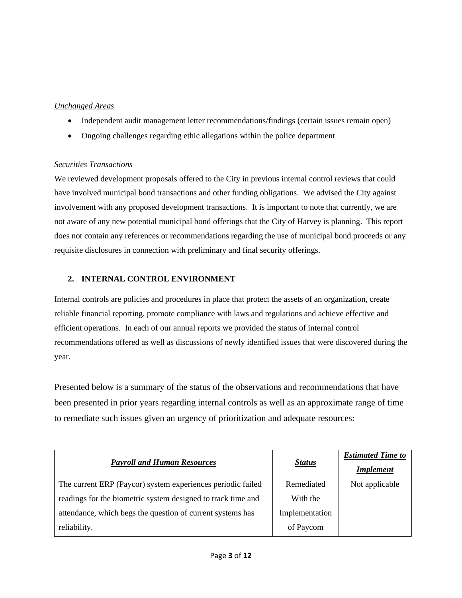## *Unchanged Areas*

- Independent audit management letter recommendations/findings (certain issues remain open)
- Ongoing challenges regarding ethic allegations within the police department

## *Securities Transactions*

We reviewed development proposals offered to the City in previous internal control reviews that could have involved municipal bond transactions and other funding obligations. We advised the City against involvement with any proposed development transactions. It is important to note that currently, we are not aware of any new potential municipal bond offerings that the City of Harvey is planning. This report does not contain any references or recommendations regarding the use of municipal bond proceeds or any requisite disclosures in connection with preliminary and final security offerings.

## **2. INTERNAL CONTROL ENVIRONMENT**

Internal controls are policies and procedures in place that protect the assets of an organization, create reliable financial reporting, promote compliance with laws and regulations and achieve effective and efficient operations. In each of our annual reports we provided the status of internal control recommendations offered as well as discussions of newly identified issues that were discovered during the year.

Presented below is a summary of the status of the observations and recommendations that have been presented in prior years regarding internal controls as well as an approximate range of time to remediate such issues given an urgency of prioritization and adequate resources:

| <b>Payroll and Human Resources</b>                           |                | <b>Estimated Time to</b> |
|--------------------------------------------------------------|----------------|--------------------------|
|                                                              | <b>Status</b>  | <b>Implement</b>         |
| The current ERP (Paycor) system experiences periodic failed  | Remediated     | Not applicable           |
| readings for the biometric system designed to track time and | With the       |                          |
| attendance, which begs the question of current systems has   | Implementation |                          |
| reliability.                                                 | of Paycom      |                          |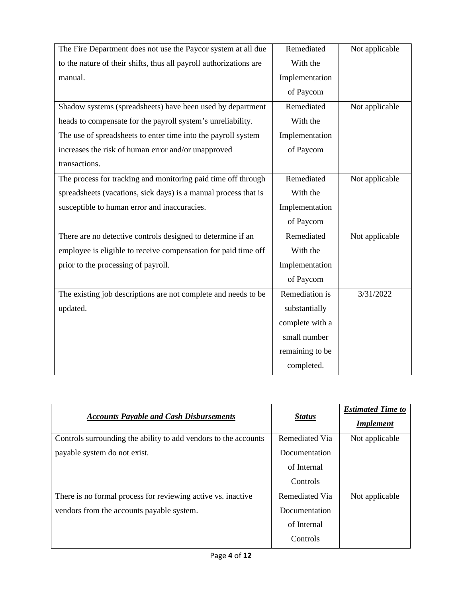| The Fire Department does not use the Paycor system at all due      | Remediated      | Not applicable |
|--------------------------------------------------------------------|-----------------|----------------|
| to the nature of their shifts, thus all payroll authorizations are | With the        |                |
| manual.                                                            | Implementation  |                |
|                                                                    | of Paycom       |                |
| Shadow systems (spreadsheets) have been used by department         | Remediated      | Not applicable |
| heads to compensate for the payroll system's unreliability.        | With the        |                |
| The use of spreadsheets to enter time into the payroll system      | Implementation  |                |
| increases the risk of human error and/or unapproved                | of Paycom       |                |
| transactions.                                                      |                 |                |
| The process for tracking and monitoring paid time off through      | Remediated      | Not applicable |
| spreadsheets (vacations, sick days) is a manual process that is    | With the        |                |
| susceptible to human error and inaccuracies.                       | Implementation  |                |
|                                                                    | of Paycom       |                |
| There are no detective controls designed to determine if an        | Remediated      | Not applicable |
| employee is eligible to receive compensation for paid time off     | With the        |                |
| prior to the processing of payroll.                                | Implementation  |                |
|                                                                    | of Paycom       |                |
| The existing job descriptions are not complete and needs to be     | Remediation is  | 3/31/2022      |
| updated.                                                           | substantially   |                |
|                                                                    | complete with a |                |
|                                                                    | small number    |                |
|                                                                    | remaining to be |                |
|                                                                    | completed.      |                |

| <b>Accounts Payable and Cash Disbursements</b>                  | <b>Status</b>  | <b>Estimated Time to</b><br><b>Implement</b> |
|-----------------------------------------------------------------|----------------|----------------------------------------------|
| Controls surrounding the ability to add vendors to the accounts | Remediated Via | Not applicable                               |
| payable system do not exist.                                    | Documentation  |                                              |
|                                                                 | of Internal    |                                              |
|                                                                 | Controls       |                                              |
| There is no formal process for reviewing active vs. inactive    | Remediated Via | Not applicable                               |
| vendors from the accounts payable system.                       | Documentation  |                                              |
|                                                                 | of Internal    |                                              |
|                                                                 | Controls       |                                              |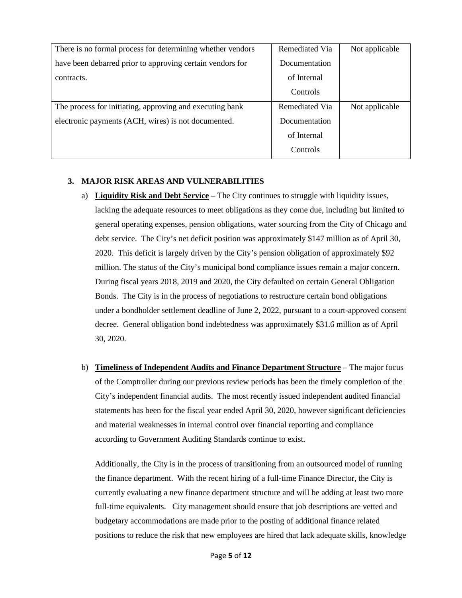| Remediated Via | Not applicable |
|----------------|----------------|
| Documentation  |                |
| of Internal    |                |
| Controls       |                |
| Remediated Via | Not applicable |
| Documentation  |                |
| of Internal    |                |
| Controls       |                |
|                |                |

### **3. MAJOR RISK AREAS AND VULNERABILITIES**

- a) **Liquidity Risk and Debt Service** The City continues to struggle with liquidity issues, lacking the adequate resources to meet obligations as they come due, including but limited to general operating expenses, pension obligations, water sourcing from the City of Chicago and debt service. The City's net deficit position was approximately \$147 million as of April 30, 2020. This deficit is largely driven by the City's pension obligation of approximately \$92 million. The status of the City's municipal bond compliance issues remain a major concern. During fiscal years 2018, 2019 and 2020, the City defaulted on certain General Obligation Bonds. The City is in the process of negotiations to restructure certain bond obligations under a bondholder settlement deadline of June 2, 2022, pursuant to a court-approved consent decree. General obligation bond indebtedness was approximately \$31.6 million as of April 30, 2020.
- b) **Timeliness of Independent Audits and Finance Department Structure** The major focus of the Comptroller during our previous review periods has been the timely completion of the City's independent financial audits. The most recently issued independent audited financial statements has been for the fiscal year ended April 30, 2020, however significant deficiencies and material weaknesses in internal control over financial reporting and compliance according to Government Auditing Standards continue to exist.

Additionally, the City is in the process of transitioning from an outsourced model of running the finance department. With the recent hiring of a full-time Finance Director, the City is currently evaluating a new finance department structure and will be adding at least two more full-time equivalents. City management should ensure that job descriptions are vetted and budgetary accommodations are made prior to the posting of additional finance related positions to reduce the risk that new employees are hired that lack adequate skills, knowledge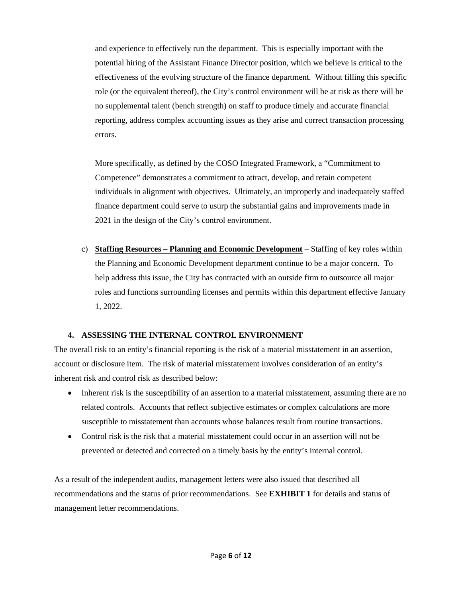and experience to effectively run the department. This is especially important with the potential hiring of the Assistant Finance Director position, which we believe is critical to the effectiveness of the evolving structure of the finance department. Without filling this specific role (or the equivalent thereof), the City's control environment will be at risk as there will be no supplemental talent (bench strength) on staff to produce timely and accurate financial reporting, address complex accounting issues as they arise and correct transaction processing errors.

More specifically, as defined by the COSO Integrated Framework, a "Commitment to Competence" demonstrates a commitment to attract, develop, and retain competent individuals in alignment with objectives. Ultimately, an improperly and inadequately staffed finance department could serve to usurp the substantial gains and improvements made in 2021 in the design of the City's control environment.

c) **Staffing Resources – Planning and Economic Development** – Staffing of key roles within the Planning and Economic Development department continue to be a major concern. To help address this issue, the City has contracted with an outside firm to outsource all major roles and functions surrounding licenses and permits within this department effective January 1, 2022.

### **4. ASSESSING THE INTERNAL CONTROL ENVIRONMENT**

The overall risk to an entity's financial reporting is the risk of a material misstatement in an assertion, account or disclosure item. The risk of material misstatement involves consideration of an entity's inherent risk and control risk as described below:

- Inherent risk is the susceptibility of an assertion to a material misstatement, assuming there are no related controls. Accounts that reflect subjective estimates or complex calculations are more susceptible to misstatement than accounts whose balances result from routine transactions.
- Control risk is the risk that a material misstatement could occur in an assertion will not be prevented or detected and corrected on a timely basis by the entity's internal control.

As a result of the independent audits, management letters were also issued that described all recommendations and the status of prior recommendations. See **EXHIBIT 1** for details and status of management letter recommendations.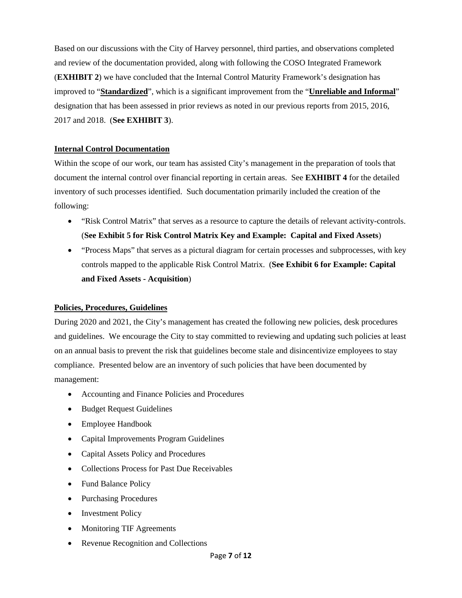Based on our discussions with the City of Harvey personnel, third parties, and observations completed and review of the documentation provided, along with following the COSO Integrated Framework (**EXHIBIT 2**) we have concluded that the Internal Control Maturity Framework's designation has improved to "**Standardized**", which is a significant improvement from the "**Unreliable and Informal**" designation that has been assessed in prior reviews as noted in our previous reports from 2015, 2016, 2017 and 2018. (**See EXHIBIT 3**).

### **Internal Control Documentation**

Within the scope of our work, our team has assisted City's management in the preparation of tools that document the internal control over financial reporting in certain areas. See **EXHIBIT 4** for the detailed inventory of such processes identified. Such documentation primarily included the creation of the following:

- "Risk Control Matrix" that serves as a resource to capture the details of relevant activity-controls. (**See Exhibit 5 for Risk Control Matrix Key and Example: Capital and Fixed Assets**)
- "Process Maps" that serves as a pictural diagram for certain processes and subprocesses, with key controls mapped to the applicable Risk Control Matrix. (**See Exhibit 6 for Example: Capital and Fixed Assets - Acquisition**)

### **Policies, Procedures, Guidelines**

During 2020 and 2021, the City's management has created the following new policies, desk procedures and guidelines. We encourage the City to stay committed to reviewing and updating such policies at least on an annual basis to prevent the risk that guidelines become stale and disincentivize employees to stay compliance. Presented below are an inventory of such policies that have been documented by management:

- Accounting and Finance Policies and Procedures
- Budget Request Guidelines
- Employee Handbook
- Capital Improvements Program Guidelines
- Capital Assets Policy and Procedures
- Collections Process for Past Due Receivables
- Fund Balance Policy
- Purchasing Procedures
- Investment Policy
- Monitoring TIF Agreements
- Revenue Recognition and Collections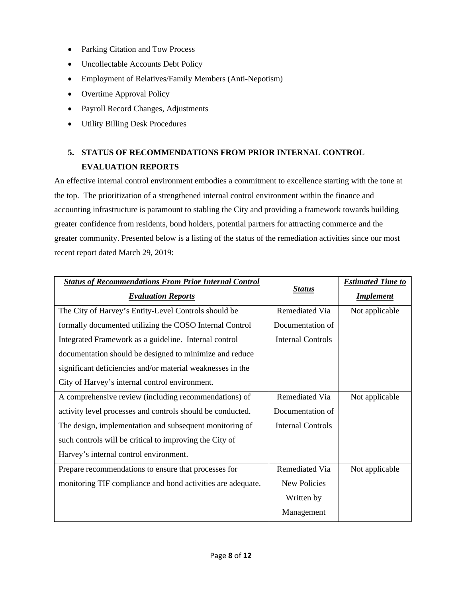- Parking Citation and Tow Process
- Uncollectable Accounts Debt Policy
- Employment of Relatives/Family Members (Anti-Nepotism)
- Overtime Approval Policy
- Payroll Record Changes, Adjustments
- Utility Billing Desk Procedures

## **5. STATUS OF RECOMMENDATIONS FROM PRIOR INTERNAL CONTROL EVALUATION REPORTS**

An effective internal control environment embodies a commitment to excellence starting with the tone at the top. The prioritization of a strengthened internal control environment within the finance and accounting infrastructure is paramount to stabling the City and providing a framework towards building greater confidence from residents, bond holders, potential partners for attracting commerce and the greater community. Presented below is a listing of the status of the remediation activities since our most recent report dated March 29, 2019:

| <b>Status of Recommendations From Prior Internal Control</b> |                          | <b>Estimated Time to</b> |  |  |
|--------------------------------------------------------------|--------------------------|--------------------------|--|--|
| <b>Evaluation Reports</b>                                    | <b>Status</b>            | <b>Implement</b>         |  |  |
| The City of Harvey's Entity-Level Controls should be         | Remediated Via           | Not applicable           |  |  |
| formally documented utilizing the COSO Internal Control      | Documentation of         |                          |  |  |
| Integrated Framework as a guideline. Internal control        | <b>Internal Controls</b> |                          |  |  |
| documentation should be designed to minimize and reduce      |                          |                          |  |  |
| significant deficiencies and/or material weaknesses in the   |                          |                          |  |  |
| City of Harvey's internal control environment.               |                          |                          |  |  |
| A comprehensive review (including recommendations) of        | Remediated Via           | Not applicable           |  |  |
| activity level processes and controls should be conducted.   | Documentation of         |                          |  |  |
| The design, implementation and subsequent monitoring of      | <b>Internal Controls</b> |                          |  |  |
| such controls will be critical to improving the City of      |                          |                          |  |  |
| Harvey's internal control environment.                       |                          |                          |  |  |
| Prepare recommendations to ensure that processes for         | Remediated Via           | Not applicable           |  |  |
| monitoring TIF compliance and bond activities are adequate.  | New Policies             |                          |  |  |
|                                                              | Written by               |                          |  |  |
|                                                              | Management               |                          |  |  |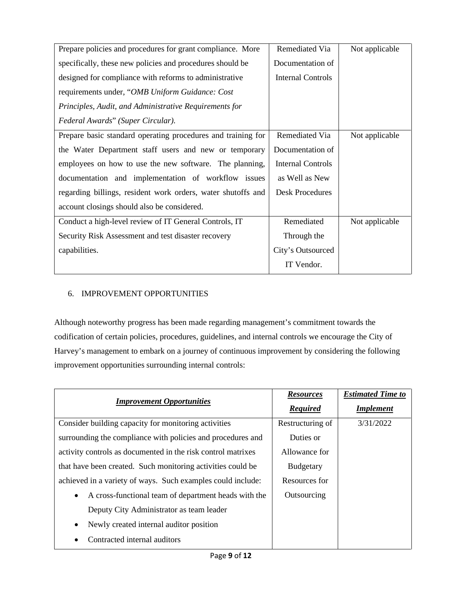| Prepare policies and procedures for grant compliance. More   | Remediated Via           | Not applicable |
|--------------------------------------------------------------|--------------------------|----------------|
| specifically, these new policies and procedures should be    | Documentation of         |                |
| designed for compliance with reforms to administrative       | <b>Internal Controls</b> |                |
| requirements under, "OMB Uniform Guidance: Cost              |                          |                |
| Principles, Audit, and Administrative Requirements for       |                          |                |
| Federal Awards" (Super Circular).                            |                          |                |
| Prepare basic standard operating procedures and training for | Remediated Via           | Not applicable |
| the Water Department staff users and new or temporary        | Documentation of         |                |
| employees on how to use the new software. The planning,      | <b>Internal Controls</b> |                |
| documentation and implementation of workflow issues          | as Well as New           |                |
| regarding billings, resident work orders, water shutoffs and | <b>Desk Procedures</b>   |                |
| account closings should also be considered.                  |                          |                |
| Conduct a high-level review of IT General Controls, IT       | Remediated               | Not applicable |
| Security Risk Assessment and test disaster recovery          | Through the              |                |
| capabilities.                                                | City's Outsourced        |                |
|                                                              | IT Vendor.               |                |

## 6. IMPROVEMENT OPPORTUNITIES

Although noteworthy progress has been made regarding management's commitment towards the codification of certain policies, procedures, guidelines, and internal controls we encourage the City of Harvey's management to embark on a journey of continuous improvement by considering the following improvement opportunities surrounding internal controls:

| <b>Improvement Opportunities</b>                                  | <b>Resources</b> | <b>Estimated Time to</b> |
|-------------------------------------------------------------------|------------------|--------------------------|
|                                                                   | <b>Required</b>  | <b>Implement</b>         |
| Consider building capacity for monitoring activities              | Restructuring of | 3/31/2022                |
| surrounding the compliance with policies and procedures and       | Duties or        |                          |
| activity controls as documented in the risk control matrixes      | Allowance for    |                          |
| that have been created. Such monitoring activities could be       | <b>Budgetary</b> |                          |
| achieved in a variety of ways. Such examples could include:       | Resources for    |                          |
| A cross-functional team of department heads with the<br>$\bullet$ | Outsourcing      |                          |
| Deputy City Administrator as team leader                          |                  |                          |
| Newly created internal auditor position<br>$\bullet$              |                  |                          |
| Contracted internal auditors                                      |                  |                          |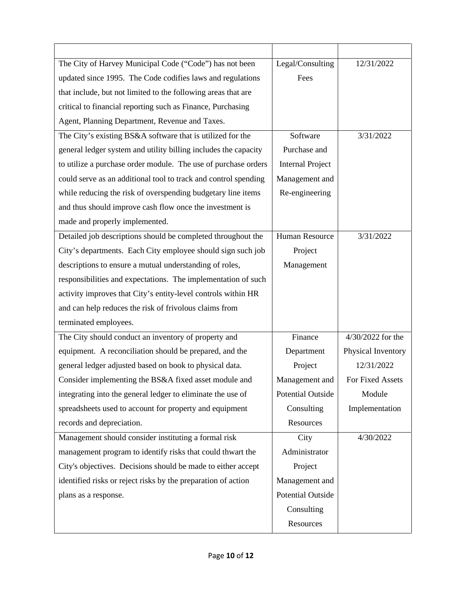| The City of Harvey Municipal Code ("Code") has not been         | Legal/Consulting         | 12/31/2022         |
|-----------------------------------------------------------------|--------------------------|--------------------|
| updated since 1995. The Code codifies laws and regulations      | Fees                     |                    |
| that include, but not limited to the following areas that are   |                          |                    |
| critical to financial reporting such as Finance, Purchasing     |                          |                    |
| Agent, Planning Department, Revenue and Taxes.                  |                          |                    |
| The City's existing BS&A software that is utilized for the      | Software                 | 3/31/2022          |
| general ledger system and utility billing includes the capacity | Purchase and             |                    |
| to utilize a purchase order module. The use of purchase orders  | <b>Internal Project</b>  |                    |
| could serve as an additional tool to track and control spending | Management and           |                    |
| while reducing the risk of overspending budgetary line items    | Re-engineering           |                    |
| and thus should improve cash flow once the investment is        |                          |                    |
| made and properly implemented.                                  |                          |                    |
| Detailed job descriptions should be completed throughout the    | <b>Human Resource</b>    | 3/31/2022          |
| City's departments. Each City employee should sign such job     | Project                  |                    |
| descriptions to ensure a mutual understanding of roles,         | Management               |                    |
| responsibilities and expectations. The implementation of such   |                          |                    |
| activity improves that City's entity-level controls within HR   |                          |                    |
| and can help reduces the risk of frivolous claims from          |                          |                    |
| terminated employees.                                           |                          |                    |
| The City should conduct an inventory of property and            | Finance                  | 4/30/2022 for the  |
| equipment. A reconciliation should be prepared, and the         | Department               | Physical Inventory |
| general ledger adjusted based on book to physical data.         | Project                  | 12/31/2022         |
| Consider implementing the BS&A fixed asset module and           | Management and           | For Fixed Assets   |
| integrating into the general ledger to eliminate the use of     | <b>Potential Outside</b> | Module             |
| spreadsheets used to account for property and equipment         | Consulting               | Implementation     |
| records and depreciation.                                       | Resources                |                    |
| Management should consider instituting a formal risk            | City                     | 4/30/2022          |
| management program to identify risks that could thwart the      | Administrator            |                    |
| City's objectives. Decisions should be made to either accept    | Project                  |                    |
| identified risks or reject risks by the preparation of action   | Management and           |                    |
| plans as a response.                                            | <b>Potential Outside</b> |                    |
|                                                                 | Consulting               |                    |
|                                                                 | Resources                |                    |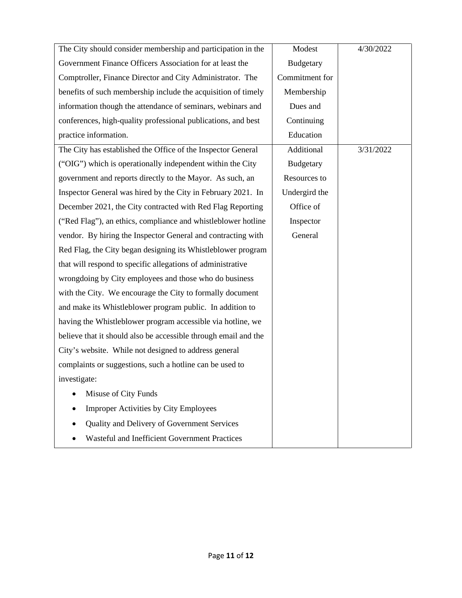| The City should consider membership and participation in the    | Modest           | 4/30/2022 |
|-----------------------------------------------------------------|------------------|-----------|
| Government Finance Officers Association for at least the        | <b>Budgetary</b> |           |
| Comptroller, Finance Director and City Administrator. The       | Commitment for   |           |
| benefits of such membership include the acquisition of timely   | Membership       |           |
| information though the attendance of seminars, webinars and     | Dues and         |           |
| conferences, high-quality professional publications, and best   | Continuing       |           |
| practice information.                                           | Education        |           |
| The City has established the Office of the Inspector General    | Additional       | 3/31/2022 |
| ("OIG") which is operationally independent within the City      | <b>Budgetary</b> |           |
| government and reports directly to the Mayor. As such, an       | Resources to     |           |
| Inspector General was hired by the City in February 2021. In    | Undergird the    |           |
| December 2021, the City contracted with Red Flag Reporting      | Office of        |           |
| ("Red Flag"), an ethics, compliance and whistleblower hotline   | Inspector        |           |
| vendor. By hiring the Inspector General and contracting with    | General          |           |
| Red Flag, the City began designing its Whistleblower program    |                  |           |
| that will respond to specific allegations of administrative     |                  |           |
| wrongdoing by City employees and those who do business          |                  |           |
| with the City. We encourage the City to formally document       |                  |           |
| and make its Whistleblower program public. In addition to       |                  |           |
| having the Whistleblower program accessible via hotline, we     |                  |           |
| believe that it should also be accessible through email and the |                  |           |
| City's website. While not designed to address general           |                  |           |
| complaints or suggestions, such a hotline can be used to        |                  |           |
| investigate:                                                    |                  |           |
| Misuse of City Funds                                            |                  |           |
| <b>Improper Activities by City Employees</b>                    |                  |           |
| Quality and Delivery of Government Services                     |                  |           |
| <b>Wasteful and Inefficient Government Practices</b>            |                  |           |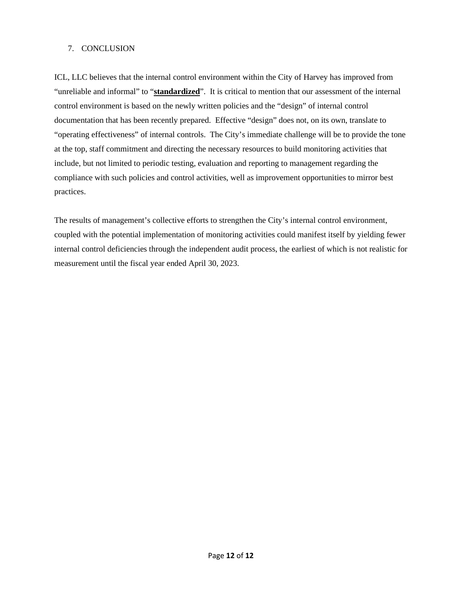#### 7. CONCLUSION

ICL, LLC believes that the internal control environment within the City of Harvey has improved from "unreliable and informal" to "**standardized**". It is critical to mention that our assessment of the internal control environment is based on the newly written policies and the "design" of internal control documentation that has been recently prepared. Effective "design" does not, on its own, translate to "operating effectiveness" of internal controls. The City's immediate challenge will be to provide the tone at the top, staff commitment and directing the necessary resources to build monitoring activities that include, but not limited to periodic testing, evaluation and reporting to management regarding the compliance with such policies and control activities, well as improvement opportunities to mirror best practices.

The results of management's collective efforts to strengthen the City's internal control environment, coupled with the potential implementation of monitoring activities could manifest itself by yielding fewer internal control deficiencies through the independent audit process, the earliest of which is not realistic for measurement until the fiscal year ended April 30, 2023.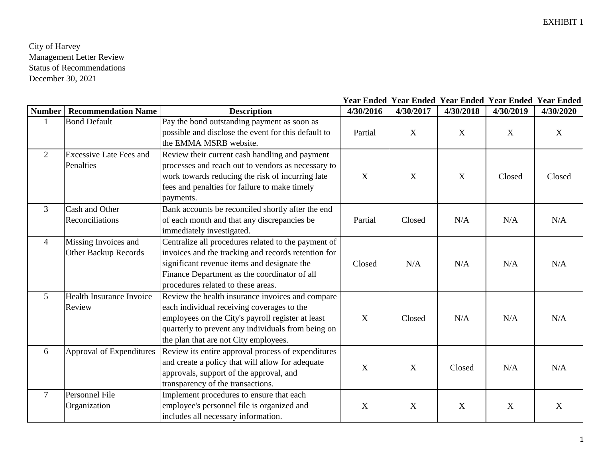| <b>Number</b>  | <b>Recommendation Name</b>                   | <b>Description</b>                                                                                                                                                                                                                                 | 4/30/2016   | 4/30/2017 | 4/30/2018 | 4/30/2019 | 4/30/2020   |
|----------------|----------------------------------------------|----------------------------------------------------------------------------------------------------------------------------------------------------------------------------------------------------------------------------------------------------|-------------|-----------|-----------|-----------|-------------|
|                | <b>Bond Default</b>                          | Pay the bond outstanding payment as soon as<br>possible and disclose the event for this default to<br>the EMMA MSRB website.                                                                                                                       | Partial     | X         | X         | X         | X           |
| $\overline{2}$ | <b>Excessive Late Fees and</b><br>Penalties  | Review their current cash handling and payment<br>processes and reach out to vendors as necessary to<br>work towards reducing the risk of incurring late<br>fees and penalties for failure to make timely<br>payments.                             | X           | X         | X         | Closed    | Closed      |
| 3              | Cash and Other<br>Reconciliations            | Bank accounts be reconciled shortly after the end<br>of each month and that any discrepancies be<br>immediately investigated.                                                                                                                      | Partial     | Closed    | N/A       | N/A       | N/A         |
| $\overline{4}$ | Missing Invoices and<br>Other Backup Records | Centralize all procedures related to the payment of<br>invoices and the tracking and records retention for<br>significant revenue items and designate the<br>Finance Department as the coordinator of all<br>procedures related to these areas.    | Closed      | N/A       | N/A       | N/A       | N/A         |
| 5              | Health Insurance Invoice<br>Review           | Review the health insurance invoices and compare<br>each individual receiving coverages to the<br>employees on the City's payroll register at least<br>quarterly to prevent any individuals from being on<br>the plan that are not City employees. | X           | Closed    | N/A       | N/A       | N/A         |
| 6              | Approval of Expenditures                     | Review its entire approval process of expenditures<br>and create a policy that will allow for adequate<br>approvals, support of the approval, and<br>transparency of the transactions.                                                             | X           | X         | Closed    | N/A       | N/A         |
| $\tau$         | Personnel File<br>Organization               | Implement procedures to ensure that each<br>employee's personnel file is organized and<br>includes all necessary information.                                                                                                                      | $\mathbf X$ | X         | X         | X         | $\mathbf X$ |

## **Year Ended Year Ended Year Ended Year Ended Year Ended**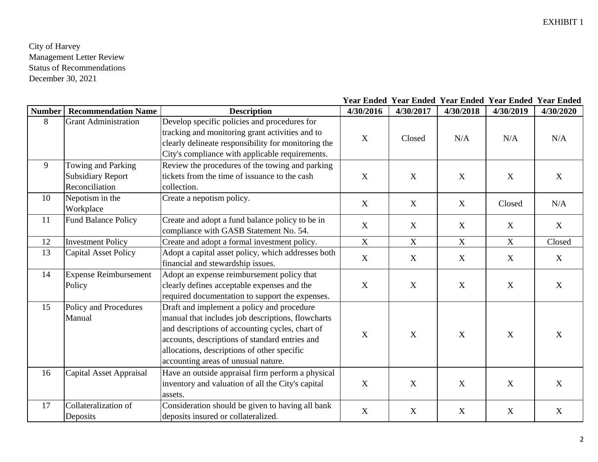| <b>Number</b> | <b>Recommendation Name</b>                                       | <b>Description</b>                                                                                                                                                                                                                                                                         | 4/30/2016   | 4/30/2017   | 4/30/2018   | 4/30/2019 | 4/30/2020 |
|---------------|------------------------------------------------------------------|--------------------------------------------------------------------------------------------------------------------------------------------------------------------------------------------------------------------------------------------------------------------------------------------|-------------|-------------|-------------|-----------|-----------|
| 8             | <b>Grant Administration</b>                                      | Develop specific policies and procedures for<br>tracking and monitoring grant activities and to<br>clearly delineate responsibility for monitoring the<br>City's compliance with applicable requirements.                                                                                  | X           | Closed      | N/A         | N/A       | N/A       |
| 9             | Towing and Parking<br><b>Subsidiary Report</b><br>Reconciliation | Review the procedures of the towing and parking<br>tickets from the time of issuance to the cash<br>collection.                                                                                                                                                                            | X           | $\mathbf X$ | X           | X         | X         |
| 10            | Nepotism in the<br>Workplace                                     | Create a nepotism policy.                                                                                                                                                                                                                                                                  | X           | X           | $\mathbf X$ | Closed    | N/A       |
| 11            | <b>Fund Balance Policy</b>                                       | Create and adopt a fund balance policy to be in<br>compliance with GASB Statement No. 54.                                                                                                                                                                                                  | X           | X           | X           | X         | X         |
| 12            | <b>Investment Policy</b>                                         | Create and adopt a formal investment policy.                                                                                                                                                                                                                                               | $\mathbf X$ | X           | $\mathbf X$ | X         | Closed    |
| 13            | <b>Capital Asset Policy</b>                                      | Adopt a capital asset policy, which addresses both<br>financial and stewardship issues.                                                                                                                                                                                                    | $\mathbf X$ | X           | $\mathbf X$ | X         | X         |
| 14            | <b>Expense Reimbursement</b><br>Policy                           | Adopt an expense reimbursement policy that<br>clearly defines acceptable expenses and the<br>required documentation to support the expenses.                                                                                                                                               | $\mathbf X$ | $\mathbf X$ | X           | X         | X         |
| 15            | Policy and Procedures<br>Manual                                  | Draft and implement a policy and procedure<br>manual that includes job descriptions, flowcharts<br>and descriptions of accounting cycles, chart of<br>accounts, descriptions of standard entries and<br>allocations, descriptions of other specific<br>accounting areas of unusual nature. | X           | X           | X           | X         | X         |
| 16            | Capital Asset Appraisal                                          | Have an outside appraisal firm perform a physical<br>inventory and valuation of all the City's capital<br>assets.                                                                                                                                                                          | $\mathbf X$ | $\mathbf X$ | X           | X         | X         |
| 17            | Collateralization of<br>Deposits                                 | Consideration should be given to having all bank<br>deposits insured or collateralized.                                                                                                                                                                                                    | X           | X           | X           | X         | X         |

#### **Year Ended Year Ended Year Ended Year Ended Year Ended**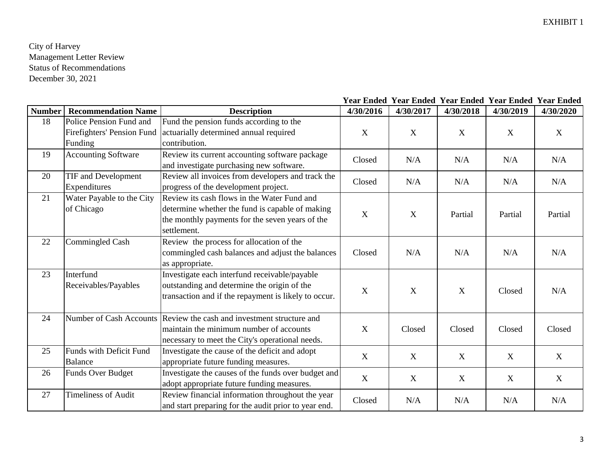| <b>Number</b> | <b>Recommendation Name</b> | <b>Description</b>                                                   | 4/30/2016   | 4/30/2017   | 4/30/2018 | 4/30/2019 | 4/30/2020 |
|---------------|----------------------------|----------------------------------------------------------------------|-------------|-------------|-----------|-----------|-----------|
| 18            | Police Pension Fund and    | Fund the pension funds according to the                              |             |             |           |           |           |
|               | Firefighters' Pension Fund | actuarially determined annual required                               | $\mathbf X$ | X           | X         | X         | X         |
|               | Funding                    | contribution.                                                        |             |             |           |           |           |
| 19            | <b>Accounting Software</b> | Review its current accounting software package                       | Closed      | N/A         | N/A       | N/A       | N/A       |
|               |                            | and investigate purchasing new software.                             |             |             |           |           |           |
| 20            | <b>TIF and Development</b> | Review all invoices from developers and track the                    | Closed      | N/A         | N/A       | N/A       | N/A       |
|               | Expenditures               | progress of the development project.                                 |             |             |           |           |           |
| 21            | Water Payable to the City  | Review its cash flows in the Water Fund and                          |             |             |           |           |           |
|               | of Chicago                 | determine whether the fund is capable of making                      | $\mathbf X$ | $\mathbf X$ | Partial   | Partial   | Partial   |
|               |                            | the monthly payments for the seven years of the                      |             |             |           |           |           |
|               |                            | settlement.                                                          |             |             |           |           |           |
| 22            | <b>Commingled Cash</b>     | Review the process for allocation of the                             |             |             |           |           |           |
|               |                            | commingled cash balances and adjust the balances                     | Closed      | N/A         | N/A       | N/A       | N/A       |
|               |                            | as appropriate.                                                      |             |             |           |           |           |
| 23            | Interfund                  | Investigate each interfund receivable/payable                        |             |             |           |           |           |
|               | Receivables/Payables       | outstanding and determine the origin of the                          | X           | X           | X         | Closed    | N/A       |
|               |                            | transaction and if the repayment is likely to occur.                 |             |             |           |           |           |
|               |                            |                                                                      |             |             |           |           |           |
| 24            |                            | Number of Cash Accounts Review the cash and investment structure and |             |             |           |           |           |
|               |                            | maintain the minimum number of accounts                              | $\mathbf X$ | Closed      | Closed    | Closed    | Closed    |
|               |                            | necessary to meet the City's operational needs.                      |             |             |           |           |           |
| 25            | Funds with Deficit Fund    | Investigate the cause of the deficit and adopt                       | $\mathbf X$ | X           | X         | X         | X         |
|               | <b>Balance</b>             | appropriate future funding measures.                                 |             |             |           |           |           |
| 26            | <b>Funds Over Budget</b>   | Investigate the causes of the funds over budget and                  | $\mathbf X$ | X           | X         | X         | X         |
|               |                            | adopt appropriate future funding measures.                           |             |             |           |           |           |
| 27            | <b>Timeliness of Audit</b> | Review financial information throughout the year                     | Closed      | N/A         | N/A       | N/A       | N/A       |
|               |                            | and start preparing for the audit prior to year end.                 |             |             |           |           |           |

#### **Year Ended Year Ended Year Ended Year Ended Year Ended**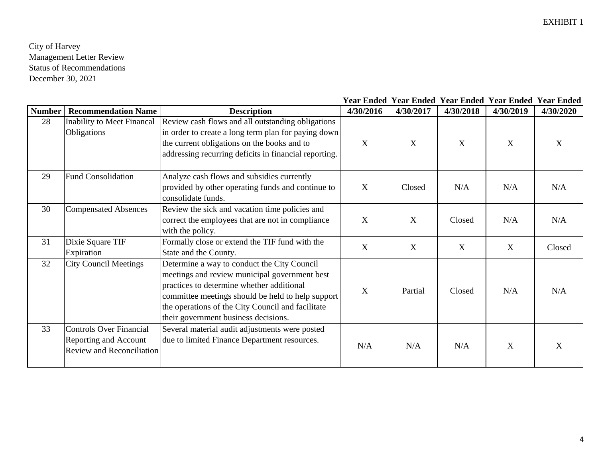|               |                                                                                             |                                                                                                                                                                                                                                                                                             |           | Year Ended Year Ended Year Ended Year Ended Year Ended |           |           |           |
|---------------|---------------------------------------------------------------------------------------------|---------------------------------------------------------------------------------------------------------------------------------------------------------------------------------------------------------------------------------------------------------------------------------------------|-----------|--------------------------------------------------------|-----------|-----------|-----------|
| <b>Number</b> | <b>Recommendation Name</b>                                                                  | <b>Description</b>                                                                                                                                                                                                                                                                          | 4/30/2016 | 4/30/2017                                              | 4/30/2018 | 4/30/2019 | 4/30/2020 |
| 28            | <b>Inability to Meet Financal</b><br>Obligations                                            | Review cash flows and all outstanding obligations<br>in order to create a long term plan for paying down<br>the current obligations on the books and to<br>addressing recurring deficits in financial reporting.                                                                            | X         | X                                                      | X         | X         | X         |
| 29            | <b>Fund Consolidation</b>                                                                   | Analyze cash flows and subsidies currently<br>provided by other operating funds and continue to<br>consolidate funds.                                                                                                                                                                       | X         | Closed                                                 | N/A       | N/A       | N/A       |
| 30            | <b>Compensated Absences</b>                                                                 | Review the sick and vacation time policies and<br>correct the employees that are not in compliance<br>with the policy.                                                                                                                                                                      | X         | X                                                      | Closed    | N/A       | N/A       |
| 31            | Dixie Square TIF<br>Expiration                                                              | Formally close or extend the TIF fund with the<br>State and the County.                                                                                                                                                                                                                     | X         | X                                                      | X         | X         | Closed    |
| 32            | <b>City Council Meetings</b>                                                                | Determine a way to conduct the City Council<br>meetings and review municipal government best<br>practices to determine whether additional<br>committee meetings should be held to help support<br>the operations of the City Council and facilitate<br>their government business decisions. | X         | Partial                                                | Closed    | N/A       | N/A       |
| 33            | <b>Controls Over Financial</b><br>Reporting and Account<br><b>Review and Reconciliation</b> | Several material audit adjustments were posted<br>due to limited Finance Department resources.                                                                                                                                                                                              | N/A       | N/A                                                    | N/A       | X         | X         |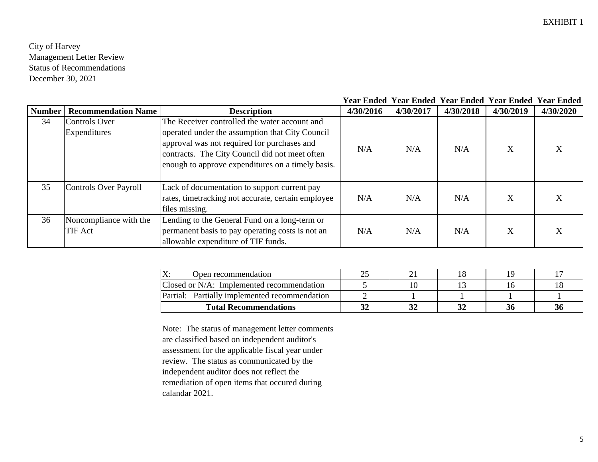#### **Year Ended Year Ended Year Ended Year Ended Year Ended**

| <b>Number</b> | <b>Recommendation Name</b> | <b>Description</b>                                 | 4/30/2016 | 4/30/2017 | 4/30/2018 | 4/30/2019 | 4/30/2020 |
|---------------|----------------------------|----------------------------------------------------|-----------|-----------|-----------|-----------|-----------|
| 34            | <b>Controls Over</b>       | The Receiver controlled the water account and      |           |           |           |           |           |
|               | Expenditures               | operated under the assumption that City Council    |           |           |           |           |           |
|               |                            | approval was not required for purchases and        | N/A       | N/A       | N/A       | X         | Х         |
|               |                            | contracts. The City Council did not meet often     |           |           |           |           |           |
|               |                            | enough to approve expenditures on a timely basis.  |           |           |           |           |           |
|               |                            |                                                    |           |           |           |           |           |
| 35            | Controls Over Payroll      | Lack of documentation to support current pay       |           |           |           |           |           |
|               |                            | rates, timetracking not accurate, certain employee | N/A       | N/A       | N/A       | X         | X         |
|               |                            | files missing.                                     |           |           |           |           |           |
| 36            | Noncompliance with the     | Lending to the General Fund on a long-term or      |           |           |           |           |           |
|               | TIF Act                    | permanent basis to pay operating costs is not an   | N/A       | N/A       | N/A       | X         | X         |
|               |                            | allowable expenditure of TIF funds.                |           |           |           |           |           |

| Open recommendation<br>ZX.                       | ∠⊾ | <u>.</u> |    |  |
|--------------------------------------------------|----|----------|----|--|
| Closed or N/A: Implemented recommendation        |    |          |    |  |
| Partial:<br>Partially implemented recommendation |    |          |    |  |
| <b>Total Recommendations</b>                     | JZ |          | 36 |  |

Note: The status of management letter comments are classified based on independent auditor's assessment for the applicable fiscal year under review. The status as communicated by the independent auditor does not reflect the remediation of open items that occured during calandar 2021.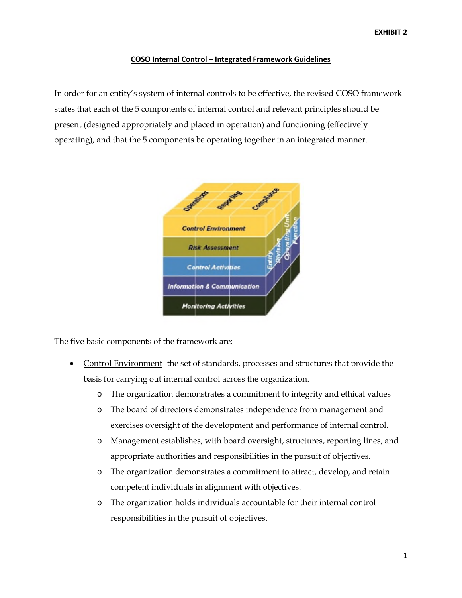#### **COSO Internal Control – Integrated Framework Guidelines**

In order for an entity's system of internal controls to be effective, the revised COSO framework states that each of the 5 components of internal control and relevant principles should be present (designed appropriately and placed in operation) and functioning (effectively operating), and that the 5 components be operating together in an integrated manner.



The five basic components of the framework are:

- Control Environment- the set of standards, processes and structures that provide the basis for carrying out internal control across the organization.
	- o The organization demonstrates a commitment to integrity and ethical values
	- o The board of directors demonstrates independence from management and exercises oversight of the development and performance of internal control.
	- o Management establishes, with board oversight, structures, reporting lines, and appropriate authorities and responsibilities in the pursuit of objectives.
	- o The organization demonstrates a commitment to attract, develop, and retain competent individuals in alignment with objectives.
	- o The organization holds individuals accountable for their internal control responsibilities in the pursuit of objectives.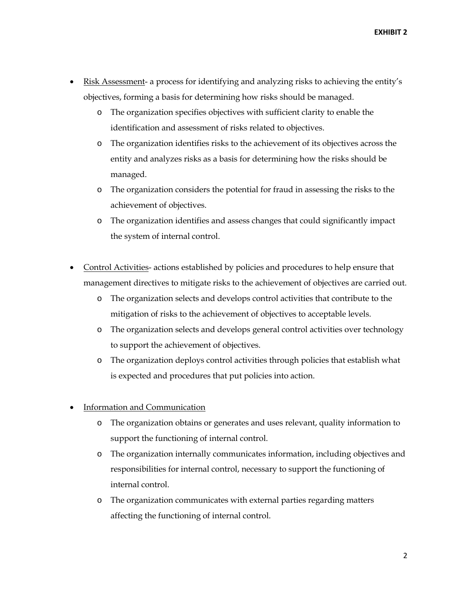**EXHIBIT 2**

- Risk Assessment- a process for identifying and analyzing risks to achieving the entity's objectives, forming a basis for determining how risks should be managed.
	- o The organization specifies objectives with sufficient clarity to enable the identification and assessment of risks related to objectives.
	- o The organization identifies risks to the achievement of its objectives across the entity and analyzes risks as a basis for determining how the risks should be managed.
	- o The organization considers the potential for fraud in assessing the risks to the achievement of objectives.
	- o The organization identifies and assess changes that could significantly impact the system of internal control.
- Control Activities- actions established by policies and procedures to help ensure that management directives to mitigate risks to the achievement of objectives are carried out.
	- o The organization selects and develops control activities that contribute to the mitigation of risks to the achievement of objectives to acceptable levels.
	- o The organization selects and develops general control activities over technology to support the achievement of objectives.
	- o The organization deploys control activities through policies that establish what is expected and procedures that put policies into action.
- Information and Communication
	- o The organization obtains or generates and uses relevant, quality information to support the functioning of internal control.
	- o The organization internally communicates information, including objectives and responsibilities for internal control, necessary to support the functioning of internal control.
	- o The organization communicates with external parties regarding matters affecting the functioning of internal control.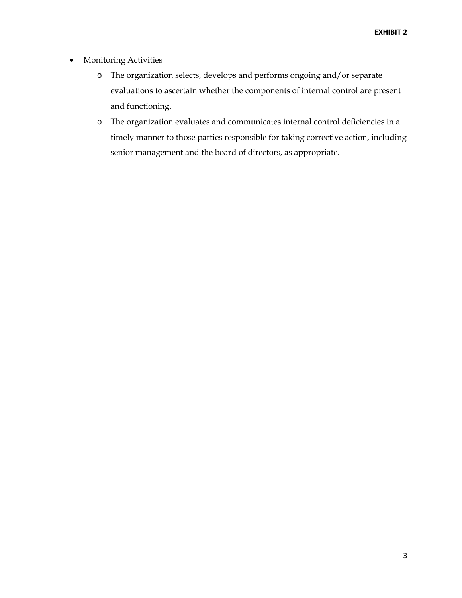- Monitoring Activities
	- o The organization selects, develops and performs ongoing and/or separate evaluations to ascertain whether the components of internal control are present and functioning.
	- o The organization evaluates and communicates internal control deficiencies in a timely manner to those parties responsible for taking corrective action, including senior management and the board of directors, as appropriate.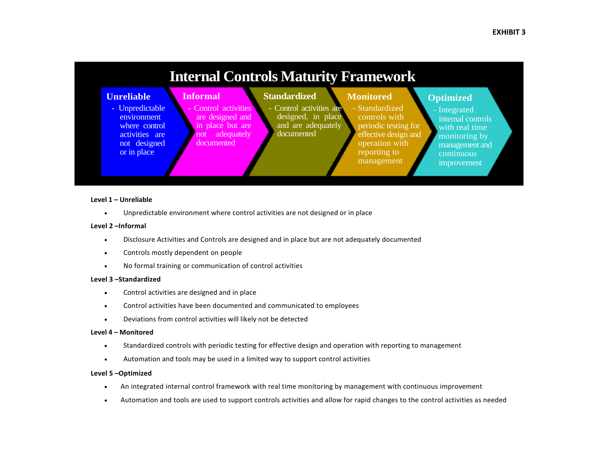

#### **Level 1 – Unreliable**

• Unpredictable environment where control activities are not designed or in place

#### **Level 2 –Informal**

- Disclosure Activities and Controls are designed and in place but are not adequately documented
- Controls mostly dependent on people
- No formal training or communication of control activities

#### **Level 3 –Standardized**

- Control activities are designed and in place
- Control activities have been documented and communicated to employees
- Deviations from control activities will likely not be detected

#### **Level 4 – Monitored**

- Standardized controls with periodic testing for effective design and operation with reporting to management
- Automation and tools may be used in a limited way to support control activities

#### **Level 5 –Optimized**

- An integrated internal control framework with real time monitoring by management with continuous improvement
- Automation and tools are used to support controls activities and allow for rapid changes to the control activities as needed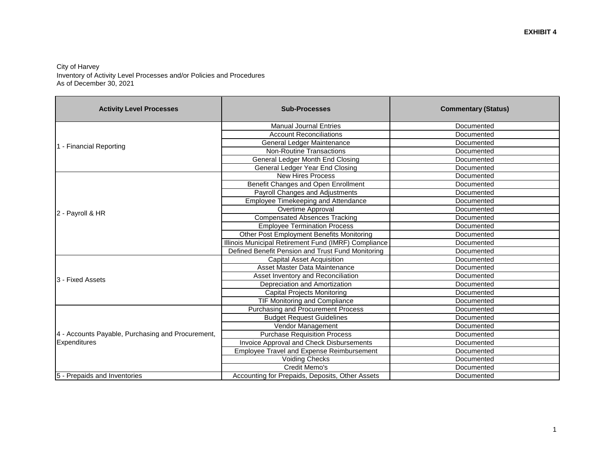#### City of Harvey Inventory of Activity Level Processes and/or Policies and Procedures As of December 30, 2021

| <b>Activity Level Processes</b>                   | <b>Sub-Processes</b>                                 | <b>Commentary (Status)</b> |
|---------------------------------------------------|------------------------------------------------------|----------------------------|
|                                                   | <b>Manual Journal Entries</b>                        | Documented                 |
|                                                   | <b>Account Reconciliations</b>                       | Documented                 |
| 1 - Financial Reporting                           | General Ledger Maintenance                           | Documented                 |
|                                                   | <b>Non-Routine Transactions</b>                      | Documented                 |
|                                                   | General Ledger Month End Closing                     | Documented                 |
|                                                   | General Ledger Year End Closing                      | Documented                 |
|                                                   | <b>New Hires Process</b>                             | Documented                 |
|                                                   | Benefit Changes and Open Enrollment                  | Documented                 |
|                                                   | Payroll Changes and Adjustments                      | Documented                 |
|                                                   | Employee Timekeeping and Attendance                  | Documented                 |
| 2 - Payroll & HR                                  | Overtime Approval                                    | Documented                 |
|                                                   | <b>Compensated Absences Tracking</b>                 | Documented                 |
|                                                   | <b>Employee Termination Process</b>                  | Documented                 |
|                                                   | Other Post Employment Benefits Monitoring            | Documented                 |
|                                                   | Illinois Municipal Retirement Fund (IMRF) Compliance | Documented                 |
|                                                   | Defined Benefit Pension and Trust Fund Monitoring    | Documented                 |
|                                                   | <b>Capital Asset Acquisition</b>                     | Documented                 |
|                                                   | Asset Master Data Maintenance                        | Documented                 |
| 3 - Fixed Assets                                  | Asset Inventory and Reconciliation                   | Documented                 |
|                                                   | Depreciation and Amortization                        | Documented                 |
|                                                   | <b>Capital Projects Monitoring</b>                   | Documented                 |
|                                                   | <b>TIF Monitoring and Compliance</b>                 | Documented                 |
|                                                   | <b>Purchasing and Procurement Process</b>            | Documented                 |
|                                                   | <b>Budget Request Guidelines</b>                     | Documented                 |
|                                                   | Vendor Management                                    | Documented                 |
| 4 - Accounts Payable, Purchasing and Procurement, | <b>Purchase Requisition Process</b>                  | Documented                 |
| Expenditures                                      | Invoice Approval and Check Disbursements             | Documented                 |
|                                                   | <b>Employee Travel and Expense Reimbursement</b>     | Documented                 |
|                                                   | <b>Voiding Checks</b>                                | Documented                 |
|                                                   | Credit Memo's                                        | Documented                 |
| 5 - Prepaids and Inventories                      | Accounting for Prepaids, Deposits, Other Assets      | Documented                 |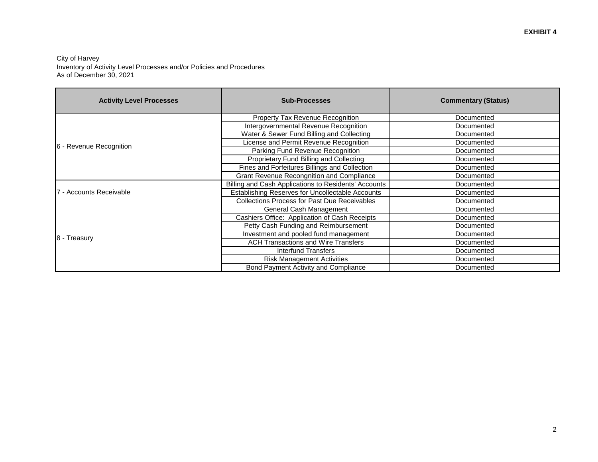#### City of Harvey Inventory of Activity Level Processes and/or Policies and Procedures As of December 30, 2021

| <b>Activity Level Processes</b> | <b>Sub-Processes</b>                                 | <b>Commentary (Status)</b> |
|---------------------------------|------------------------------------------------------|----------------------------|
|                                 | Property Tax Revenue Recognition                     | Documented                 |
|                                 | Intergovernmental Revenue Recognition                | Documented                 |
|                                 | Water & Sewer Fund Billing and Collecting            | Documented                 |
| 6 - Revenue Recognition         | License and Permit Revenue Recognition               | Documented                 |
|                                 | Parking Fund Revenue Recognition                     | Documented                 |
|                                 | Proprietary Fund Billing and Collecting              | Documented                 |
|                                 | Fines and Forfeitures Billings and Collection        | Documented                 |
|                                 | <b>Grant Revenue Recongnition and Compliance</b>     | Documented                 |
|                                 | Billing and Cash Applications to Residents' Accounts | Documented                 |
| 7 - Accounts Receivable         | Establishing Reserves for Uncollectable Accounts     | Documented                 |
|                                 | <b>Collections Process for Past Due Receivables</b>  | Documented                 |
|                                 | General Cash Management                              | Documented                 |
|                                 | Cashiers Office: Application of Cash Receipts        | Documented                 |
|                                 | Petty Cash Funding and Reimbursement                 | Documented                 |
|                                 | Investment and pooled fund management                | Documented                 |
| 8 - Treasury                    | <b>ACH Transactions and Wire Transfers</b>           | Documented                 |
|                                 | <b>Interfund Transfers</b>                           | Documented                 |
|                                 | <b>Risk Management Activities</b>                    | Documented                 |
|                                 | Bond Payment Activity and Compliance                 | Documented                 |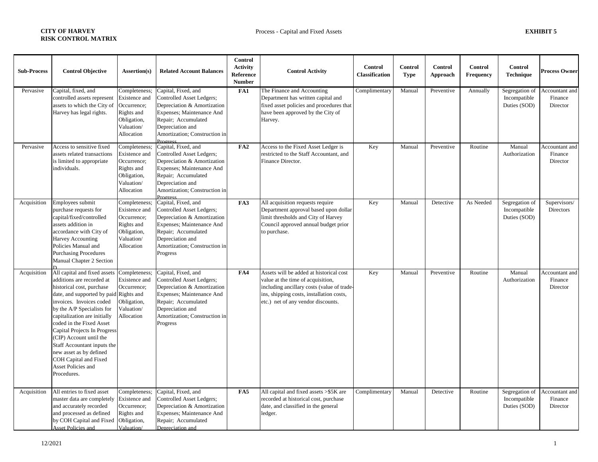| <b>Sub-Process</b> | <b>Control Objective</b>                                                                                                                                                                                                                                                                                                                                                                                                                                | Assertion(s)                                                                                           | <b>Related Account Balances</b>                                                                                                                                                                      | <b>Control</b><br><b>Activity</b><br>Reference<br>Number | <b>Control Activity</b>                                                                                                                                                                                      | Control<br>Classification | Control<br><b>Type</b> | Control<br>Approach | Control<br>Frequency | Control<br><b>Technique</b>                    | <b>Process Owner</b>                  |
|--------------------|---------------------------------------------------------------------------------------------------------------------------------------------------------------------------------------------------------------------------------------------------------------------------------------------------------------------------------------------------------------------------------------------------------------------------------------------------------|--------------------------------------------------------------------------------------------------------|------------------------------------------------------------------------------------------------------------------------------------------------------------------------------------------------------|----------------------------------------------------------|--------------------------------------------------------------------------------------------------------------------------------------------------------------------------------------------------------------|---------------------------|------------------------|---------------------|----------------------|------------------------------------------------|---------------------------------------|
| Pervasive          | Capital, fixed, and<br>controlled assets represent<br>assets to which the City of<br>Harvey has legal rights.                                                                                                                                                                                                                                                                                                                                           | Completeness;<br>Existence and<br>Occurrence;<br>Rights and<br>Obligation,<br>Valuation/<br>Allocation | Capital, Fixed, and<br>Controlled Asset Ledgers;<br>Depreciation & Amortization<br>Expenses; Maintenance And<br>Repair; Accumulated<br>Depreciation and<br>Amortization; Construction in<br>Progress | FA1                                                      | The Finance and Accounting<br>Department has written capital and<br>fixed asset policies and procedures that<br>have been approved by the City of<br>Harvey.                                                 | Complimentary             | Manual                 | Preventive          | Annually             | Segregation of<br>Incompatible<br>Duties (SOD) | Accountant and<br>Finance<br>Director |
| Pervasive          | Access to sensitive fixed<br>assets related transactions<br>is limited to appropriate<br>individuals.                                                                                                                                                                                                                                                                                                                                                   | Completeness;<br>Existence and<br>Occurrence;<br>Rights and<br>Obligation,<br>Valuation/<br>Allocation | Capital, Fixed, and<br>Controlled Asset Ledgers;<br>Depreciation & Amortization<br>Expenses; Maintenance And<br>Repair; Accumulated<br>Depreciation and<br>Amortization; Construction in             | FA2                                                      | Access to the Fixed Asset Ledger is<br>restricted to the Staff Accountant, and<br>Finance Director.                                                                                                          | Key                       | Manual                 | Preventive          | Routine              | Manual<br>Authorization                        | Accountant and<br>Finance<br>Director |
| Acquisition        | Employees submit<br>purchase requests for<br>capital/fixed/controlled<br>assets addition in<br>accordance with City of<br>Harvey Accounting<br>Policies Manual and<br><b>Purchasing Procedures</b><br>Manual Chapter 2 Section                                                                                                                                                                                                                          | Completeness;<br>Existence and<br>Occurrence;<br>Rights and<br>Obligation,<br>Valuation/<br>Allocation | Capital, Fixed, and<br>Controlled Asset Ledgers;<br>Depreciation & Amortization<br>Expenses; Maintenance And<br>Repair; Accumulated<br>Depreciation and<br>Amortization; Construction in<br>Progress | FA3                                                      | All acquisition requests require<br>Department approval based upon dollar<br>limit thresholds and City of Harvey<br>Council approved annual budget prior<br>to purchase.                                     | Key                       | Manual                 | Detective           | As Needed            | Segregation of<br>Incompatible<br>Duties (SOD) | Supervisors/<br><b>Directors</b>      |
| Acquisition        | All capital and fixed assets<br>additions are recorded at<br>historical cost, purchase<br>date, and supported by paid Rights and<br>invoices. Invoices coded<br>by the A/P Specialists for<br>capitalization are initially<br>coded in the Fixed Asset<br>Capital Projects In Progress<br>(CIP) Account until the<br>Staff Accountant inputs the<br>new asset as by defined<br><b>COH Capital and Fixed</b><br><b>Asset Policies and</b><br>Procedures. | Completeness;<br>Existence and<br>Occurrence;<br>Obligation,<br>Valuation/<br>Allocation               | Capital, Fixed, and<br>Controlled Asset Ledgers;<br>Depreciation & Amortization<br>Expenses; Maintenance And<br>Repair; Accumulated<br>Depreciation and<br>Amortization; Construction in<br>Progress | FA4                                                      | Assets will be added at historical cost<br>value at the time of acquisition,<br>including ancillary costs (value of trade-<br>ins, shipping costs, installation costs,<br>etc.) net of any vendor discounts. | Key                       | Manual                 | Preventive          | Routine              | Manual<br>Authorization                        | Accountant and<br>Finance<br>Director |
| Acquisition        | All entries to fixed asset<br>master data are completely<br>and accurately recorded<br>and processed as defined<br>by COH Capital and Fixed<br><b>Asset Policies and</b>                                                                                                                                                                                                                                                                                | Completeness;<br>Existence and<br>Occurrence;<br>Rights and<br>Obligation,<br>Valuation/               | Capital, Fixed, and<br>Controlled Asset Ledgers;<br>Depreciation & Amortization<br>Expenses; Maintenance And<br>Repair; Accumulated<br>Depreciation and                                              | FA5                                                      | All capital and fixed assets >\$5K are<br>recorded at historical cost, purchase<br>date, and classified in the general<br>ledger.                                                                            | Complimentary             | Manual                 | Detective           | Routine              | Segregation of<br>Incompatible<br>Duties (SOD) | Accountant and<br>Finance<br>Director |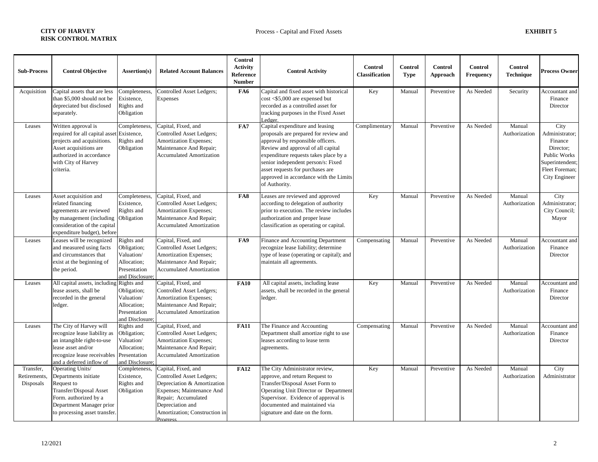| <b>Sub-Process</b>                     | <b>Control Objective</b>                                                                                                                                                     | Assertion(s)                                                                              | <b>Related Account Balances</b>                                                                                                                                                                      | <b>Control</b><br><b>Activity</b><br>Reference<br><b>Number</b> | <b>Control Activity</b>                                                                                                                                                                                                                                                                                                           | Control<br>Classification | <b>Control</b><br><b>Type</b> | <b>Control</b><br><b>Approach</b> | <b>Control</b><br>Frequency | <b>Control</b><br><b>Technique</b> | <b>Process Owner</b>                                                                                                        |
|----------------------------------------|------------------------------------------------------------------------------------------------------------------------------------------------------------------------------|-------------------------------------------------------------------------------------------|------------------------------------------------------------------------------------------------------------------------------------------------------------------------------------------------------|-----------------------------------------------------------------|-----------------------------------------------------------------------------------------------------------------------------------------------------------------------------------------------------------------------------------------------------------------------------------------------------------------------------------|---------------------------|-------------------------------|-----------------------------------|-----------------------------|------------------------------------|-----------------------------------------------------------------------------------------------------------------------------|
| Acquisition                            | Capital assets that are less<br>than \$5,000 should not be<br>depreciated but disclosed<br>separately.                                                                       | Completeness,<br>Existence,<br>Rights and<br>Obligation                                   | Controlled Asset Ledgers;<br>Expenses                                                                                                                                                                | FA6                                                             | Capital and fixed asset with historical<br>$cost < $5,000$ are expensed but<br>recorded as a controlled asset for<br>tracking purposes in the Fixed Asset<br>edger.                                                                                                                                                               | Key                       | Manual                        | Preventive                        | As Needed                   | Security                           | Accountant and<br>Finance<br>Director                                                                                       |
| Leases                                 | Written approval is<br>required for all capital asse<br>projects and acquisitions.<br>Asset acquisitions are<br>authorized in accordance<br>with City of Harvey<br>criteria. | Completeness<br>Existence,<br>Rights and<br>Obligation                                    | Capital, Fixed, and<br>Controlled Asset Ledgers;<br>Amortization Expenses;<br>Maintenance And Repair;<br><b>Accumulated Amortization</b>                                                             | FA7                                                             | Capital expenditure and leasing<br>proposals are prepared for review and<br>approval by responsible officers.<br>Review and approval of all capital<br>expenditure requests takes place by a<br>senior independent person/s: Fixed<br>asset requests for purchases are<br>approved in accordance with the Limits<br>of Authority. | Complimentary             | Manual                        | Preventive                        | As Needed                   | Manual<br>Authorization            | City<br>Administrator;<br>Finance<br>Director:<br><b>Public Works</b><br>Superintendent;<br>Fleet Foreman;<br>City Engineer |
| Leases                                 | Asset acquisition and<br>related financing<br>agreements are reviewed<br>by management (including<br>consideration of the capital<br>expenditure budget), before             | Completeness,<br>Existence,<br>Rights and<br>Obligation                                   | Capital, Fixed, and<br>Controlled Asset Ledgers;<br>Amortization Expenses;<br>Maintenance And Repair;<br><b>Accumulated Amortization</b>                                                             | FA8                                                             | Leases are reviewed and approved<br>according to delegation of authority<br>prior to execution. The review includes<br>authorization and proper lease<br>classification as operating or capital.                                                                                                                                  | Key                       | Manual                        | Preventive                        | As Needed                   | Manual<br>Authorization            | City<br>Administrator;<br>City Council;<br>Mayor                                                                            |
| Leases                                 | Leases will be recognized<br>and measured using facts<br>and circumstances that<br>exist at the beginning of<br>the period.                                                  | Rights and<br>Obligation;<br>Valuation/<br>Allocation;<br>Presentation<br>and Disclosure  | Capital, Fixed, and<br>Controlled Asset Ledgers;<br>Amortization Expenses;<br>Maintenance And Repair;<br><b>Accumulated Amortization</b>                                                             | FA9                                                             | <b>Finance and Accounting Department</b><br>recognize lease liability; determine<br>type of lease (operating or capital); and<br>maintain all agreements.                                                                                                                                                                         | Compensating              | Manual                        | Preventive                        | As Needed                   | Manual<br>Authorization            | Accountant and<br>Finance<br>Director                                                                                       |
| Leases                                 | All capital assets, including Rights and<br>lease assets, shall be<br>recorded in the general<br>ledger.                                                                     | Obligation;<br>Valuation/<br>Allocation;<br>Presentation<br>and Disclosure                | Capital, Fixed, and<br>Controlled Asset Ledgers;<br>Amortization Expenses;<br>Maintenance And Repair;<br><b>Accumulated Amortization</b>                                                             | <b>FA10</b>                                                     | All capital assets, including lease<br>assets, shall be recorded in the general<br>ledger.                                                                                                                                                                                                                                        | Key                       | Manual                        | Preventive                        | As Needed                   | Manual<br>Authorization            | Accountant and<br>Finance<br>Director                                                                                       |
| Leases                                 | The City of Harvey will<br>recognize lease liability as<br>an intangible right-to-use<br>lease asset and/or<br>recognize lease receivables<br>and a deferred inflow of       | Rights and<br>Obligation;<br>Valuation/<br>Allocation;<br>Presentation<br>and Disclosure; | Capital, Fixed, and<br>Controlled Asset Ledgers;<br>Amortization Expenses;<br>Maintenance And Repair;<br><b>Accumulated Amortization</b>                                                             | <b>FA11</b>                                                     | The Finance and Accounting<br>Department shall amortize right to use<br>leases according to lease term<br>agreements.                                                                                                                                                                                                             | Compensating              | Manual                        | Preventive                        | As Needed                   | Manual<br>Authorization            | Accountant and<br>Finance<br>Director                                                                                       |
| Transfer,<br>Retirements,<br>Disposals | Operating Units/<br>Departments initiate<br>Request to<br>Transfer/Disposal Asset<br>Form. authorized by a<br>Department Manager prior<br>to processing asset transfer.      | Completeness,<br>Existence,<br>Rights and<br>Obligation                                   | Capital, Fixed, and<br>Controlled Asset Ledgers;<br>Depreciation & Amortization<br>Expenses; Maintenance And<br>Repair; Accumulated<br>Depreciation and<br>Amortization; Construction in<br>Progress | <b>FA12</b>                                                     | The City Administrator review,<br>approve, and return Request to<br>Transfer/Disposal Asset Form to<br>Operating Unit Director or Department<br>Supervisor. Evidence of approval is<br>documented and maintained via<br>signature and date on the form.                                                                           | Key                       | Manual                        | Preventive                        | As Needed                   | Manual<br>Authorization            | City<br>Administrator                                                                                                       |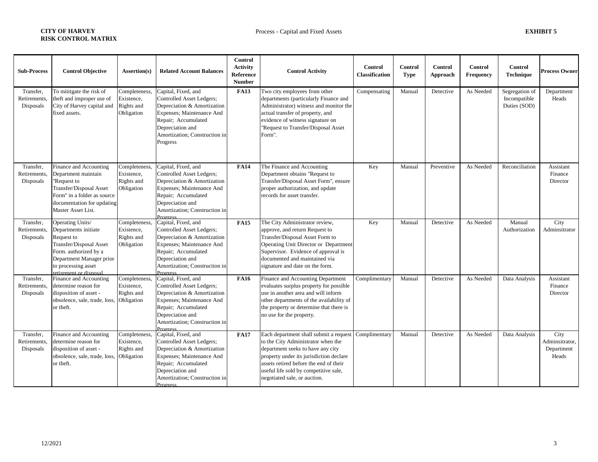| <b>Sub-Process</b>                     | <b>Control Objective</b>                                                                                                                                                                | Assertion(s)                                            | <b>Related Account Balances</b>                                                                                                                                                                             | Control<br><b>Activity</b><br>Reference<br><b>Number</b> | <b>Control Activity</b>                                                                                                                                                                                                                                                                       | Control<br><b>Classification</b> | <b>Control</b><br><b>Type</b> | Control<br>Approach | <b>Control</b><br>Frequency | Control<br><b>Technique</b>                    | <b>Process Owner</b>                          |
|----------------------------------------|-----------------------------------------------------------------------------------------------------------------------------------------------------------------------------------------|---------------------------------------------------------|-------------------------------------------------------------------------------------------------------------------------------------------------------------------------------------------------------------|----------------------------------------------------------|-----------------------------------------------------------------------------------------------------------------------------------------------------------------------------------------------------------------------------------------------------------------------------------------------|----------------------------------|-------------------------------|---------------------|-----------------------------|------------------------------------------------|-----------------------------------------------|
| Transfer,<br>Retirements.<br>Disposals | To mititgate the risk of<br>theft and improper use of<br>City of Harvey capital and<br>fixed assets.                                                                                    | Completeness.<br>Existence,<br>Rights and<br>Obligation | Capital, Fixed, and<br>Controlled Asset Ledgers;<br>Depreciation & Amortization<br>Expenses; Maintenance And<br>Repair; Accumulated<br>Depreciation and<br>Amortization; Construction in<br>Progress        | <b>FA13</b>                                              | Two city employees from other<br>departments (particularly Finance and<br>Administrator) witness and monitor the<br>actual transfer of property, and<br>evidence of witness signature on<br>"Request to Transfer/Disposal Asset<br>Form".                                                     | Compensating                     | Manual                        | Detective           | As Needed                   | Segregation of<br>Incompatible<br>Duties (SOD) | Department<br>Heads                           |
| Transfer.<br>Retirements,<br>Disposals | Finance and Accounting<br>Department maintain<br>"Request to<br>Transfer/Disposal Asset<br>Form" in a folder as source<br>documentation for updating<br>Master Asset List.              | Completeness,<br>Existence,<br>Rights and<br>Obligation | Capital, Fixed, and<br>Controlled Asset Ledgers;<br>Depreciation & Amortization<br>Expenses; Maintenance And<br>Repair; Accumulated<br>Depreciation and<br>Amortization; Construction in<br><b>Progress</b> | <b>FA14</b>                                              | The Finance and Accounting<br>Department obtains "Request to<br>Transfer/Disposal Asset Form", ensure<br>proper authorization, and update<br>records for asset transfer.                                                                                                                      | Key                              | Manual                        | Preventive          | As Needed                   | Reconciliation                                 | Assistant<br>Finance<br>Director              |
| Transfer,<br>Retirements,<br>Disposals | Operating Units/<br>Departments initiate<br>Request to<br>Transfer/Disposal Asset<br>Form. authorized by a<br>Department Manager prior<br>to processing asset<br>retirement or disposal | Completeness<br>Existence,<br>Rights and<br>Obligation  | Capital, Fixed, and<br>Controlled Asset Ledgers;<br>Depreciation & Amortization<br>Expenses; Maintenance And<br>Repair; Accumulated<br>Depreciation and<br>Amortization; Construction in<br>Progress        | <b>FA15</b>                                              | The City Administrator review,<br>approve, and return Request to<br>Transfer/Disposal Asset Form to<br>Operating Unit Director or Department<br>Supervisor. Evidence of approval is<br>documented and maintained via<br>signature and date on the form.                                       | Key                              | Manual                        | Detective           | As Needed                   | Manual<br>Authorization                        | City<br>Adminsitrator                         |
| Transfer,<br>Retirements,<br>Disposals | Finance and Accounting<br>determine reason for<br>disposition of asset -<br>obsolence, sale, trade, loss,<br>or theft.                                                                  | Completeness.<br>Existence,<br>Rights and<br>Obligation | Capital, Fixed, and<br>Controlled Asset Ledgers;<br>Depreciation & Amortization<br>Expenses; Maintenance And<br>Repair; Accumulated<br>Depreciation and<br>Amortization; Construction in<br>Progress        | <b>FA16</b>                                              | Finance and Accounting Department<br>evaluates surplus property for possible<br>use in another area and will inform<br>other departments of the availability of<br>the property or determine that there is<br>no use for the property.                                                        | Complimentary                    | Manual                        | Detective           | As Needed                   | Data Analysis                                  | Assistant<br>Finance<br>Director              |
| Transfer,<br>Retirements,<br>Disposals | Finance and Accounting<br>determine reason for<br>disposition of asset -<br>obsolence, sale, trade, loss,<br>or theft.                                                                  | Completeness,<br>Existence,<br>Rights and<br>Obligation | Capital, Fixed, and<br>Controlled Asset Ledgers;<br>Depreciation & Amortization<br>Expenses; Maintenance And<br>Repair; Accumulated<br>Depreciation and<br>Amortization; Construction in<br>Progress        | <b>FA17</b>                                              | Each department shall submit a request Complimentary<br>to the City Administrator when the<br>department seeks to have any city<br>property under its jurisdiction declare<br>assets retired before the end of their<br>useful life sold by competitive sale,<br>negotiated sale, or auction. |                                  | Manual                        | Detective           | As Needed                   | Data Analysis                                  | City<br>Adminsitrator,<br>Department<br>Heads |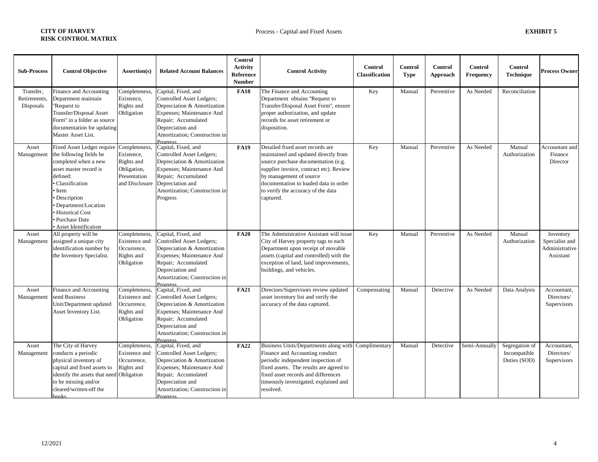| <b>Sub-Process</b>                     | <b>Control Objective</b>                                                                                                                                                                                                                                    | Assertion(s)                                                                               | <b>Related Account Balances</b>                                                                                                                                                                             | Control<br><b>Activity</b><br>Reference<br><b>Number</b> | <b>Control Activity</b>                                                                                                                                                                                                                                                           | <b>Control</b><br>Classification | <b>Control</b><br><b>Type</b> | Control<br>Approach | <b>Control</b><br>Frequency | <b>Control</b><br><b>Technique</b>             | <b>Process Owner</b>                                       |
|----------------------------------------|-------------------------------------------------------------------------------------------------------------------------------------------------------------------------------------------------------------------------------------------------------------|--------------------------------------------------------------------------------------------|-------------------------------------------------------------------------------------------------------------------------------------------------------------------------------------------------------------|----------------------------------------------------------|-----------------------------------------------------------------------------------------------------------------------------------------------------------------------------------------------------------------------------------------------------------------------------------|----------------------------------|-------------------------------|---------------------|-----------------------------|------------------------------------------------|------------------------------------------------------------|
| Transfer,<br>Retirements,<br>Disposals | Finance and Accounting<br>Department maintain<br>'Request to<br><b>Transfer/Disposal Asset</b><br>Form" in a folder as source<br>documentation for updating<br>Master Asset List.                                                                           | Completeness,<br>Existence,<br>Rights and<br>Obligation                                    | Capital, Fixed, and<br>Controlled Asset Ledgers;<br>Depreciation & Amortization<br>Expenses; Maintenance And<br>Repair; Accumulated<br>Depreciation and<br>Amortization; Construction in<br>Progress        | <b>FA18</b>                                              | The Finance and Accounting<br>Department obtains "Request to<br>Transfer/Disposal Asset Form", ensure<br>proper authorization, and update<br>records for asset retirement or<br>disposition.                                                                                      | Key                              | Manual                        | Preventive          | As Needed                   | Reconciliation                                 |                                                            |
| Asset<br>Management                    | Fixed Asset Ledger require<br>the following fields be<br>completed when a new<br>asset master record is<br>defined:<br>· Classification<br>• Item<br>• Description<br>• Department/Location<br>· Historical Cost<br>Purchase Date<br>• Asset Identification | Completeness,<br>Existence,<br>Rights and<br>Obligation,<br>Presentation<br>and Disclosure | Capital, Fixed, and<br>Controlled Asset Ledgers;<br>Depreciation & Amortization<br>Expenses; Maintenance And<br>Repair; Accumulated<br>Depreciation and<br>Amortization; Construction in<br>Progress        | <b>FA19</b>                                              | Detailed fixed asset records are<br>maintained and updated directly from<br>source purchase documentation (e.g.<br>supplier invoice, contract etc). Review<br>by management of source<br>documentation to loaded data in order<br>to verify the accuracy of the data<br>captured. | Key                              | Manual                        | Preventive          | As Needed                   | Manual<br>Authorization                        | Accountant and<br>Finance<br>Director                      |
| Asset<br>Management                    | All property will be<br>assigned a unique city<br>identification number by<br>the Inventory Specialist.                                                                                                                                                     | Completeness,<br>Existence and<br>Occurrence,<br>Rights and<br>Obligation                  | Capital, Fixed, and<br>Controlled Asset Ledgers;<br>Depreciation & Amortization<br>Expenses; Maintenance And<br>Repair; Accumulated<br>Depreciation and<br>Amortization; Construction in<br>Progress        | <b>FA20</b>                                              | The Administrative Assistant will issue<br>City of Harvey property tags to each<br>Department upon receipt of movable<br>assets (capital and controlled) with the<br>exception of land, land improvements,<br>buildings, and vehicles.                                            | Key                              | Manual                        | Preventive          | As Needed                   | Manual<br>Authorization                        | Inventory<br>Specialist and<br>Administrative<br>Assistant |
| Asset<br>Management                    | Finance and Accounting<br>send Business<br>Unit/Department updated<br>Asset Inventory List.                                                                                                                                                                 | Completeness,<br>Existence and<br>Occurrence,<br>Rights and<br>Obligation                  | Capital, Fixed, and<br>Controlled Asset Ledgers;<br>Depreciation & Amortization<br>Expenses; Maintenance And<br>Repair; Accumulated<br>Depreciation and<br>Amortization; Construction in<br>Progress        | <b>FA21</b>                                              | Directors/Supervisors review updated<br>asset inventory list and verify the<br>accuracy of the data captured.                                                                                                                                                                     | Compensating                     | Manual                        | Detective           | As Needed                   | Data Analysis                                  | Accountant,<br>Directors/<br>Supervisors                   |
| Asset<br>Management                    | The City of Harvey<br>conducts a periodic<br>physical inventory of<br>capital and fixed assets to<br>identify the assets that need Obligation<br>to be missing and/or<br>cleared/written-off the<br>hooks                                                   | Completeness,<br>Existence and<br>Occurrence.<br>Rights and                                | Capital, Fixed, and<br>Controlled Asset Ledgers;<br>Depreciation & Amortization<br>Expenses; Maintenance And<br>Repair; Accumulated<br>Depreciation and<br>Amortization; Construction in<br><b>Progress</b> | <b>FA22</b>                                              | Business Units/Departments along with Complimentary<br>Finance and Accounting conduct<br>periodic independent inspection of<br>fixed assets. The results are agreed to<br>fixed asset records and differences<br>timeously investigated, explained and<br>resolved.               |                                  | Manual                        | Detective           | Semi-Annually               | Segregation of<br>Incompatible<br>Duties (SOD) | Accountant,<br>Directors/<br>Supervisors                   |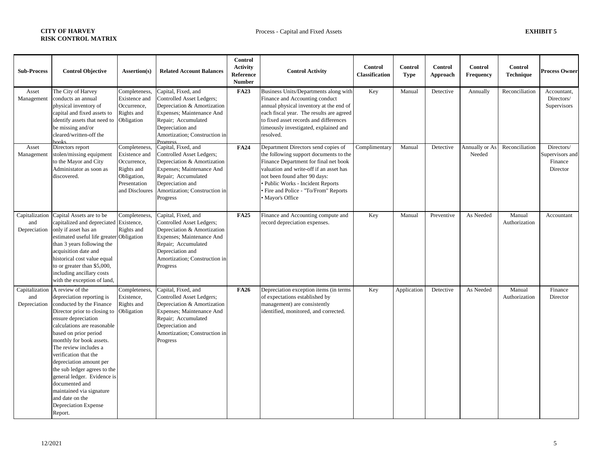| <b>Sub-Process</b>  | <b>Control Objective</b>                                                                                                                                                                                                                                                                                                                                                                                                                                                             | Assertion(s)                                                                                                 | <b>Related Account Balances</b>                                                                                                                                                                      | Control<br><b>Activity</b><br>Reference<br><b>Number</b> | <b>Control Activity</b>                                                                                                                                                                                                                                                                          | <b>Control</b><br>Classification | <b>Control</b><br>Type | <b>Control</b><br>Approach | <b>Control</b><br><b>Frequency</b> | <b>Control</b><br><b>Technique</b> | <b>Process Owner</b>                                 |
|---------------------|--------------------------------------------------------------------------------------------------------------------------------------------------------------------------------------------------------------------------------------------------------------------------------------------------------------------------------------------------------------------------------------------------------------------------------------------------------------------------------------|--------------------------------------------------------------------------------------------------------------|------------------------------------------------------------------------------------------------------------------------------------------------------------------------------------------------------|----------------------------------------------------------|--------------------------------------------------------------------------------------------------------------------------------------------------------------------------------------------------------------------------------------------------------------------------------------------------|----------------------------------|------------------------|----------------------------|------------------------------------|------------------------------------|------------------------------------------------------|
| Asset<br>Management | The City of Harvey<br>conducts an annual<br>physical inventory of<br>capital and fixed assets to<br>identify assets that need to<br>be missing and/or<br>cleared/written-off the<br>hooks                                                                                                                                                                                                                                                                                            | Completeness<br>Existence and<br>Occurrence,<br>Rights and<br>Obligation                                     | Capital, Fixed, and<br>Controlled Asset Ledgers;<br>Depreciation & Amortization<br>Expenses; Maintenance And<br>Repair; Accumulated<br>Depreciation and<br>Amortization; Construction in<br>Progress | <b>FA23</b>                                              | Business Units/Departments along with<br>Finance and Accounting conduct<br>annual physical inventory at the end of<br>each fiscal year. The results are agreed<br>to fixed asset records and differences<br>timeously investigated, explained and<br>resolved.                                   | Key                              | Manual                 | Detective                  | Annually                           | Reconciliation                     | Accountant.<br>Directors/<br>Supervisors             |
| Asset<br>Management | Directors report<br>stolen/missing equipment<br>to the Mayor and City<br>Administator as soon as<br>discovered.                                                                                                                                                                                                                                                                                                                                                                      | Completeness,<br>Existence and<br>Occurrence,<br>Rights and<br>Obligation,<br>Presentation<br>and Discloures | Capital, Fixed, and<br>Controlled Asset Ledgers;<br>Depreciation & Amortization<br>Expenses; Maintenance And<br>Repair; Accumulated<br>Depreciation and<br>Amortization; Construction in<br>Progress | <b>FA24</b>                                              | Department Directors send copies of<br>the following support documents to the<br>Finance Department for final net book<br>valuation and write-off if an asset has<br>not been found after 90 days:<br>· Public Works - Incident Reports<br>Fire and Police - "To/From" Reports<br>Mayor's Office | Complimentary                    | Manual                 | Detective                  | Annually or As<br>Needed           | Reconciliation                     | Directors/<br>Supervisors and<br>Finance<br>Director |
| and<br>Depreciation | Capitalization Capital Assets are to be<br>capitalized and depreciated Existence,<br>only if asset has an<br>estimated useful life greater Obligation<br>than 3 years following the<br>acquisition date and<br>historical cost value equal<br>to or greater than \$5,000.<br>including ancillary costs<br>with the exception of land,                                                                                                                                                | Completeness,<br>Rights and                                                                                  | Capital, Fixed, and<br>Controlled Asset Ledgers;<br>Depreciation & Amortization<br>Expenses; Maintenance And<br>Repair; Accumulated<br>Depreciation and<br>Amortization; Construction in<br>Progress | <b>FA25</b>                                              | Finance and Accounting compute and<br>record depreciation expenses.                                                                                                                                                                                                                              | Key                              | Manual                 | Preventive                 | As Needed                          | Manual<br>Authorization            | Accountant                                           |
| and<br>Depreciation | Capitalization   A review of the<br>depreciation reporting is<br>conducted by the Finance<br>Director prior to closing to<br>ensure depreciation<br>calculations are reasonable<br>based on prior period<br>monthly for book assets.<br>The review includes a<br>verification that the<br>depreciation amount per<br>the sub ledger agrees to the<br>general ledger. Evidence is<br>documented and<br>maintained via signature<br>and date on the<br>Depreciation Expense<br>Report. | Completeness<br>Existence,<br>Rights and<br>Obligation                                                       | Capital, Fixed, and<br>Controlled Asset Ledgers;<br>Depreciation & Amortization<br>Expenses; Maintenance And<br>Repair; Accumulated<br>Depreciation and<br>Amortization; Construction in<br>Progress | <b>FA26</b>                                              | Depreciation exception items (in terms<br>of expectations established by<br>management) are consistently<br>identified, monitored, and corrected.                                                                                                                                                | Key                              | Application            | Detective                  | As Needed                          | Manual<br>Authorization            | Finance<br>Director                                  |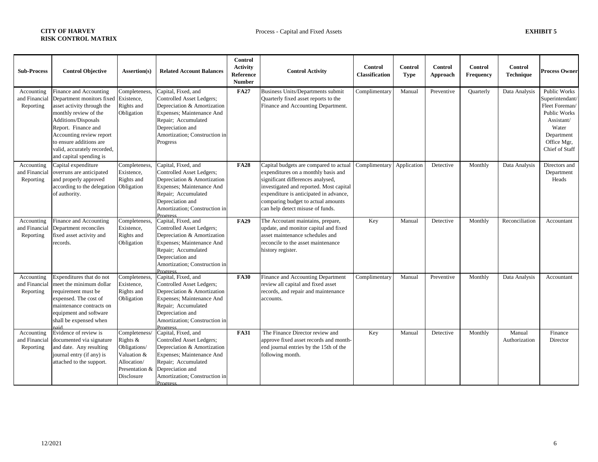| <b>Sub-Process</b>                       | <b>Control Objective</b>                                                                                                                                                                                                                                                  | Assertion(s)                                                                                            | <b>Related Account Balances</b>                                                                                                                                                                      | Control<br><b>Activity</b><br>Reference<br><b>Number</b> | <b>Control Activity</b>                                                                                                                                                                                                                                                                         | <b>Control</b><br><b>Classification</b> | <b>Control</b><br><b>Type</b> | Control<br>Approach | <b>Control</b><br><b>Frequency</b> | Control<br><b>Technique</b> | <b>Process Owner</b>                                                                                                                                  |
|------------------------------------------|---------------------------------------------------------------------------------------------------------------------------------------------------------------------------------------------------------------------------------------------------------------------------|---------------------------------------------------------------------------------------------------------|------------------------------------------------------------------------------------------------------------------------------------------------------------------------------------------------------|----------------------------------------------------------|-------------------------------------------------------------------------------------------------------------------------------------------------------------------------------------------------------------------------------------------------------------------------------------------------|-----------------------------------------|-------------------------------|---------------------|------------------------------------|-----------------------------|-------------------------------------------------------------------------------------------------------------------------------------------------------|
| Accounting<br>and Financial<br>Reporting | Finance and Accounting<br>Department monitors fixed<br>asset activity through the<br>monthly review of the<br>Additions/Disposals<br>Report. Finance and<br>Accounting review report<br>to ensure additions are<br>valid, accurately recorded,<br>and capital spending is | Completeness,<br>Existence,<br>Rights and<br>Obligation                                                 | Capital, Fixed, and<br>Controlled Asset Ledgers;<br>Depreciation & Amortization<br>Expenses; Maintenance And<br>Repair; Accumulated<br>Depreciation and<br>Amortization; Construction in<br>Progress | <b>FA27</b>                                              | <b>Business Units/Departments submit</b><br>Quarterly fixed asset reports to the<br>Finance and Accounting Department.                                                                                                                                                                          | Complimentary                           | Manual                        | Preventive          | Quarterly                          | Data Analysis               | <b>Public Works</b><br>Superintendant/<br>Fleet Foreman/<br><b>Public Works</b><br>Assistant/<br>Water<br>Department<br>Office Mgr,<br>Chief of Staff |
| Accounting<br>and Financial<br>Reporting | Capital expenditure<br>overruns are anticipated<br>and properly approved<br>according to the delegation<br>of authority.                                                                                                                                                  | Completeness,<br>Existence,<br>Rights and<br>Obligation                                                 | Capital, Fixed, and<br>Controlled Asset Ledgers;<br>Depreciation & Amortization<br>Expenses; Maintenance And<br>Repair; Accumulated<br>Depreciation and<br>Amortization; Construction in<br>Progress | <b>FA28</b>                                              | Capital budgets are compared to actual Complimentary<br>expenditures on a monthly basis and<br>significant differences analysed,<br>investigated and reported. Most capital<br>expenditure is anticipated in advance,<br>comparing budget to actual amounts<br>can help detect misuse of funds. |                                         | Application                   | Detective           | Monthly                            | Data Analysis               | Directors and<br>Department<br>Heads                                                                                                                  |
| Accounting<br>and Financial<br>Reporting | Finance and Accounting<br>Department reconciles<br>fixed asset activity and<br>records.                                                                                                                                                                                   | Completeness<br>Existence,<br>Rights and<br>Obligation                                                  | Capital, Fixed, and<br>Controlled Asset Ledgers;<br>Depreciation & Amortization<br>Expenses; Maintenance And<br>Repair; Accumulated<br>Depreciation and<br>Amortization; Construction in<br>Progress | <b>FA29</b>                                              | The Accoutant maintains, prepare,<br>update, and monitor capital and fixed<br>asset maintenance schedules and<br>reconcile to the asset maintenance<br>history register.                                                                                                                        | Key                                     | Manual                        | Detective           | Monthly                            | Reconciliation              | Accountant                                                                                                                                            |
| Accounting<br>and Financial<br>Reporting | Expenditures that do not<br>meet the minimum dollar<br>requirement must be<br>expensed. The cost of<br>maintenance contracts on<br>equipment and software<br>shall be expensed when<br>hier                                                                               | Completeness,<br>Existence,<br>Rights and<br>Obligation                                                 | Capital, Fixed, and<br>Controlled Asset Ledgers;<br>Depreciation & Amortization<br>Expenses; Maintenance And<br>Repair; Accumulated<br>Depreciation and<br>Amortization; Construction in<br>Progress | <b>FA30</b>                                              | Finance and Accounting Department<br>review all capital and fixed asset<br>records, and repair and maintenance<br>accounts.                                                                                                                                                                     | Complimentary                           | Manual                        | Preventive          | Monthly                            | Data Analysis               | Accountant                                                                                                                                            |
| Accounting<br>and Financial<br>Reporting | Evidence of review is<br>documented via signature<br>and date. Any resulting<br>journal entry (if any) is<br>attached to the support.                                                                                                                                     | Completeness/<br>Rights &<br>Obligations/<br>Valuation &<br>Allocation/<br>Presentation &<br>Disclosure | Capital, Fixed, and<br>Controlled Asset Ledgers;<br>Depreciation & Amortization<br>Expenses; Maintenance And<br>Repair; Accumulated<br>Depreciation and<br>Amortization; Construction in<br>Progress | <b>FA31</b>                                              | The Finance Director review and<br>approve fixed asset records and month-<br>end journal entries by the 15th of the<br>following month.                                                                                                                                                         | Key                                     | Manual                        | Detective           | Monthly                            | Manual<br>Authorization     | Finance<br>Director                                                                                                                                   |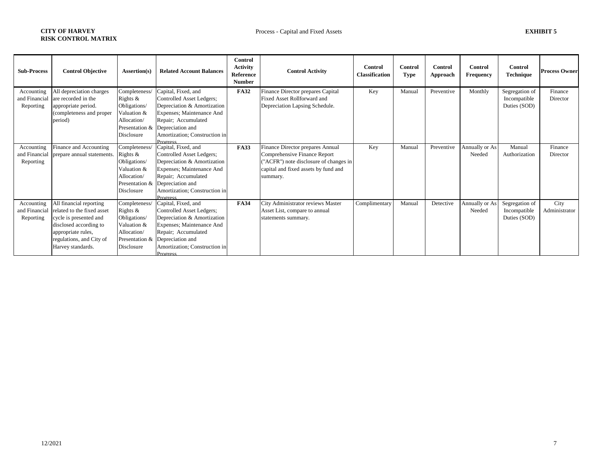| <b>Sub-Process</b>                       | <b>Control Objective</b>                                                                                                                                                         | Assertion(s)                                                                                                      | <b>Related Account Balances</b>                                                                                                                                                                             | Control<br><b>Activity</b><br>Reference<br><b>Number</b> | <b>Control Activity</b>                                                                                                                                        | Control<br><b>Classification</b> | Control<br>Type | Control<br>Approach | Control<br><b>Frequency</b> | <b>Control</b><br>Technique                    | <b>Process Owner</b>  |
|------------------------------------------|----------------------------------------------------------------------------------------------------------------------------------------------------------------------------------|-------------------------------------------------------------------------------------------------------------------|-------------------------------------------------------------------------------------------------------------------------------------------------------------------------------------------------------------|----------------------------------------------------------|----------------------------------------------------------------------------------------------------------------------------------------------------------------|----------------------------------|-----------------|---------------------|-----------------------------|------------------------------------------------|-----------------------|
| Accounting<br>and Financial<br>Reporting | All depreciation charges<br>are recorded in the<br>appropriate period.<br>(completeness and proper<br>period)                                                                    | Completeness/<br>Rights $&$<br>Obligations/<br>Valuation &<br>Allocation/<br>Presentation &<br>Disclosure         | Capital, Fixed, and<br>Controlled Asset Ledgers;<br>Depreciation & Amortization<br>Expenses; Maintenance And<br>Repair; Accumulated<br>Depreciation and<br>Amortization; Construction in<br>Progress        | <b>FA32</b>                                              | Finance Director prepares Capital<br>Fixed Asset Rollforward and<br>Depreciation Lapsing Schedule.                                                             | Key                              | Manual          | Preventive          | Monthly                     | Segregation of<br>Incompatible<br>Duties (SOD) | Finance<br>Director   |
| Accounting<br>and Financial<br>Reporting | Finance and Accounting<br>prepare annual statements.                                                                                                                             | Completeness/<br>Rights $\&$<br>Obligations/<br>Valuation &<br>Allocation/<br>Presentation &<br><b>Disclosure</b> | Capital, Fixed, and<br>Controlled Asset Ledgers;<br>Depreciation & Amortization<br>Expenses; Maintenance And<br>Repair; Accumulated<br>Depreciation and<br>Amortization; Construction in<br>Prooress        | <b>FA33</b>                                              | Finance Director prepares Annual<br>Comprehensive Finance Report<br>("ACFR") note disclosure of changes in<br>capital and fixed assets by fund and<br>summary. | Key                              | Manual          | Preventive          | Annually or As<br>Needed    | Manual<br>Authorization                        | Finance<br>Director   |
| Accounting<br>and Financial<br>Reporting | All financial reporting<br>related to the fixed asset<br>cycle is presented and<br>disclosed according to<br>appropriate rules,<br>regulations, and City of<br>Harvey standards. | Completeness/<br>Rights $&$<br>Obligations/<br>Valuation &<br>Allocation/<br>Presentation &<br>Disclosure         | Capital, Fixed, and<br>Controlled Asset Ledgers;<br>Depreciation & Amortization<br>Expenses; Maintenance And<br>Repair; Accumulated<br>Depreciation and<br>Amortization; Construction in<br><b>Progress</b> | <b>FA34</b>                                              | City Administrator reviews Master<br>Asset List, compare to annual<br>statements summary.                                                                      | Complimentary                    | Manual          | Detective           | Annually or As<br>Needed    | Segregation of<br>Incompatible<br>Duties (SOD) | City<br>Administrator |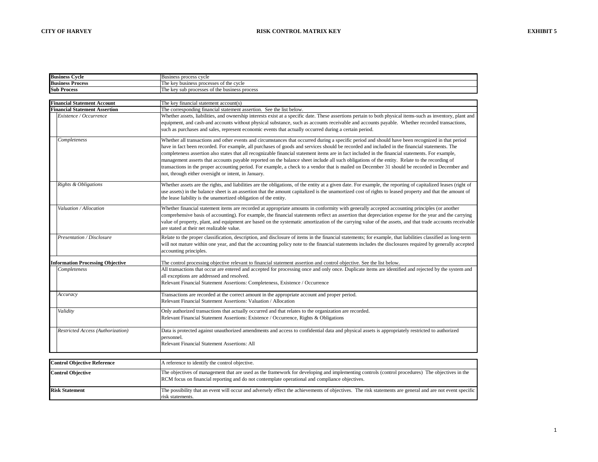| <b>Business Cycle</b>                                                                                                                                                                                                                                     | Business process cycle                                                                                                                                                                                                                                                                                                                                                                                                                                                                                                                                                                                                                                                                                                                                                                                              |  |  |  |  |  |
|-----------------------------------------------------------------------------------------------------------------------------------------------------------------------------------------------------------------------------------------------------------|---------------------------------------------------------------------------------------------------------------------------------------------------------------------------------------------------------------------------------------------------------------------------------------------------------------------------------------------------------------------------------------------------------------------------------------------------------------------------------------------------------------------------------------------------------------------------------------------------------------------------------------------------------------------------------------------------------------------------------------------------------------------------------------------------------------------|--|--|--|--|--|
| <b>Business Process</b>                                                                                                                                                                                                                                   | The key business processes of the cycle                                                                                                                                                                                                                                                                                                                                                                                                                                                                                                                                                                                                                                                                                                                                                                             |  |  |  |  |  |
| <b>Sub Process</b>                                                                                                                                                                                                                                        | The key sub processes of the business process                                                                                                                                                                                                                                                                                                                                                                                                                                                                                                                                                                                                                                                                                                                                                                       |  |  |  |  |  |
|                                                                                                                                                                                                                                                           |                                                                                                                                                                                                                                                                                                                                                                                                                                                                                                                                                                                                                                                                                                                                                                                                                     |  |  |  |  |  |
| <b>Financial Statement Account</b>                                                                                                                                                                                                                        | The key financial statement account(s)                                                                                                                                                                                                                                                                                                                                                                                                                                                                                                                                                                                                                                                                                                                                                                              |  |  |  |  |  |
| <b>Financial Statement Assertion</b>                                                                                                                                                                                                                      | The corresponding financial statement assertion. See the list below.                                                                                                                                                                                                                                                                                                                                                                                                                                                                                                                                                                                                                                                                                                                                                |  |  |  |  |  |
| Existence / Occurrence                                                                                                                                                                                                                                    | Whether assets, liabilities, and ownership interests exist at a specific date. These assertions pertain to both physical items-such as inventory, plant and<br>equipment, and cash-and accounts without physical substance, such as accounts receivable and accounts payable. Whether recorded transactions,<br>such as purchases and sales, represent economic events that actually occurred during a certain period.                                                                                                                                                                                                                                                                                                                                                                                              |  |  |  |  |  |
| Completeness                                                                                                                                                                                                                                              | Whether all transactions and other events and circumstances that occurred during a specific period and should have been recognized in that period<br>have in fact been recorded. For example, all purchases of goods and services should be recorded and included in the financial statements. The<br>completeness assertion also states that all recognizable financial statement items are in fact included in the financial statements. For example,<br>management asserts that accounts payable reported on the balance sheet include all such obligations of the entity. Relate to the recording of<br>transactions in the proper accounting period. For example, a check to a vendor that is mailed on December 31 should be recorded in December and<br>not, through either oversight or intent, in January. |  |  |  |  |  |
| Rights & Obligations                                                                                                                                                                                                                                      | Whether assets are the rights, and liabilities are the obligations, of the entity at a given date. For example, the reporting of capitalized leases (right of<br>use assets) in the balance sheet is an assertion that the amount capitalized is the unamortized cost of rights to leased property and that the amount of<br>the lease liability is the unamortized obligation of the entity.                                                                                                                                                                                                                                                                                                                                                                                                                       |  |  |  |  |  |
| Valuation / Allocation                                                                                                                                                                                                                                    | Whether financial statement items are recorded at appropriate amounts in conformity with generally accepted accounting principles (or another<br>comprehensive basis of accounting). For example, the financial statements reflect an assertion that depreciation expense for the year and the carrying<br>value of property, plant, and equipment are based on the systematic amortization of the carrying value of the assets, and that trade accounts receivable<br>are stated at their net realizable value.                                                                                                                                                                                                                                                                                                    |  |  |  |  |  |
| Presentation / Disclosure                                                                                                                                                                                                                                 | Relate to the proper classification, description, and disclosure of items in the financial statements; for example, that liabilities classified as long-term<br>will not mature within one year, and that the accounting policy note to the financial statements includes the disclosures required by generally accepted<br>accounting principles.                                                                                                                                                                                                                                                                                                                                                                                                                                                                  |  |  |  |  |  |
| <b>Information Processing Objective</b>                                                                                                                                                                                                                   | The control processing objective relevant to financial statement assertion and control objective. See the list below.                                                                                                                                                                                                                                                                                                                                                                                                                                                                                                                                                                                                                                                                                               |  |  |  |  |  |
| Completeness                                                                                                                                                                                                                                              | All transactions that occur are entered and accepted for processing once and only once. Duplicate items are identified and rejected by the system and<br>all exceptions are addressed and resolved.<br>Relevant Financial Statement Assertions: Completeness, Existence / Occurrence                                                                                                                                                                                                                                                                                                                                                                                                                                                                                                                                |  |  |  |  |  |
| Accuracy                                                                                                                                                                                                                                                  | Transactions are recorded at the correct amount in the appropriate account and proper period.<br>Relevant Financial Statement Assertions: Valuation / Allocation                                                                                                                                                                                                                                                                                                                                                                                                                                                                                                                                                                                                                                                    |  |  |  |  |  |
| Validity                                                                                                                                                                                                                                                  | Only authorized transactions that actually occurred and that relates to the organization are recorded.<br>Relevant Financial Statement Assertions: Existence / Occurrence, Rights & Obligations                                                                                                                                                                                                                                                                                                                                                                                                                                                                                                                                                                                                                     |  |  |  |  |  |
| Restricted Access (Authorization)<br>Data is protected against unauthorized amendments and access to confidential data and physical assets is appropriately restricted to authorized<br>personnel.<br><b>Relevant Financial Statement Assertions: All</b> |                                                                                                                                                                                                                                                                                                                                                                                                                                                                                                                                                                                                                                                                                                                                                                                                                     |  |  |  |  |  |

| <b>Control Objective Reference</b> | A reference to identify the control objective.                                                                                                                                                                                                   |
|------------------------------------|--------------------------------------------------------------------------------------------------------------------------------------------------------------------------------------------------------------------------------------------------|
| <b>Control Objective</b>           | The objectives of management that are used as the framework for developing and implementing control (control procedures) The objectives in the<br>RCM focus on financial reporting and do not contemplate operational and compliance objectives. |
| <b>Risk Statement</b>              | The possibility that an event will occur and adversely effect the achievements of objectives. The risk statements are general and are not event specific<br>risk statements.                                                                     |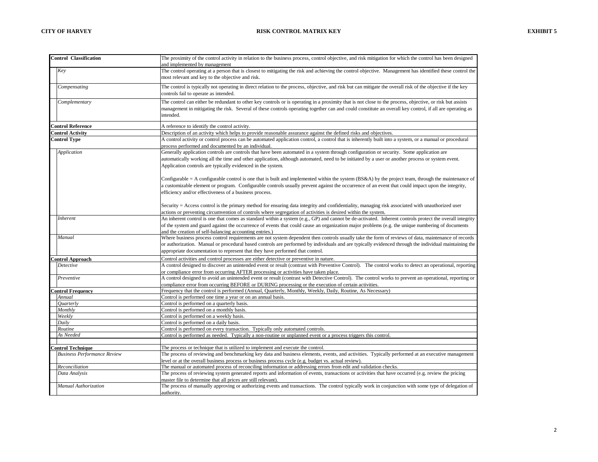| <b>Control Classification</b>      | The proximity of the control activity in relation to the business process, control objective, and risk mitigation for which the control has been designed                                                                                                               |
|------------------------------------|-------------------------------------------------------------------------------------------------------------------------------------------------------------------------------------------------------------------------------------------------------------------------|
|                                    | and implemented by management                                                                                                                                                                                                                                           |
| Key                                | The control operating at a person that is closest to mitigating the risk and achieving the control objective. Management has identified these control the                                                                                                               |
|                                    | most relevant and key to the objective and risk.                                                                                                                                                                                                                        |
|                                    |                                                                                                                                                                                                                                                                         |
| Compensating                       | The control is typically not operating in direct relation to the process, objective, and risk but can mitigate the overall risk of the objective if the key                                                                                                             |
|                                    | controls fail to operate as intended.                                                                                                                                                                                                                                   |
| Complementary                      | The control can either be redundant to other key controls or is operating in a proximity that is not close to the process, objective, or risk but assists                                                                                                               |
|                                    | management in mitigating the risk. Several of these controls operating together can and could constitute an overall key control, if all are operating as                                                                                                                |
|                                    | intended.                                                                                                                                                                                                                                                               |
| <b>Control Reference</b>           | A reference to identify the control activity.                                                                                                                                                                                                                           |
| <b>Control Activity</b>            | Description of an activity which helps to provide reasonable assurance against the defined risks and objectives.                                                                                                                                                        |
| <b>Control Type</b>                | A control activity or control process can be automated application control, a control that is inherently built into a system, or a manual or procedural                                                                                                                 |
|                                    | process performed and documented by an individual.                                                                                                                                                                                                                      |
| Application                        | Generally application controls are controls that have been automated in a system through configuration or security. Some application are                                                                                                                                |
|                                    | automatically working all the time and other application, although automated, need to be initiated by a user or another process or system event.                                                                                                                        |
|                                    | Application controls are typically evidenced in the system.                                                                                                                                                                                                             |
|                                    |                                                                                                                                                                                                                                                                         |
|                                    | Configurable = A configurable control is one that is built and implemented within the system (BS&A) by the project team, through the maintenance of                                                                                                                     |
|                                    | a customizable element or program. Configurable controls usually prevent against the occurrence of an event that could impact upon the integrity,                                                                                                                       |
|                                    | efficiency and/or effectiveness of a business process.                                                                                                                                                                                                                  |
|                                    |                                                                                                                                                                                                                                                                         |
|                                    | Security = Access control is the primary method for ensuring data integrity and confidentiality, managing risk associated with unauthorized user                                                                                                                        |
|                                    | actions or preventing circumvention of controls where segregation of activities is desired within the system.                                                                                                                                                           |
| Inherent                           | An inherent control is one that comes as standard within a system (e.g., GP) and cannot be de-activated. Inherent controls protect the overall integrity                                                                                                                |
|                                    | of the system and guard against the occurrence of events that could cause an organization major problems (e.g. the unique numbering of documents                                                                                                                        |
|                                    | and the creation of self-balancing accounting entries.)                                                                                                                                                                                                                 |
| Manual                             | Where business process control requirements are not system dependent then controls usually take the form of reviews of data, maintenance of records                                                                                                                     |
|                                    | or authorization. Manual or procedural based controls are performed by individuals and are typically evidenced through the individual maintaining the                                                                                                                   |
|                                    | appropriate documentation to represent that they have performed that control.                                                                                                                                                                                           |
| <b>Control Approach</b>            | Control activities and control processes are either detective or preventive in nature.                                                                                                                                                                                  |
| Detective                          | A control designed to discover an unintended event or result (contrast with Preventive Control). The control works to detect an operational, reporting                                                                                                                  |
|                                    | or compliance error from occurring AFTER processing or activities have taken place.                                                                                                                                                                                     |
| Preventive                         | A control designed to avoid an unintended event or result (contrast with Detective Control). The control works to prevent an operational, reporting or                                                                                                                  |
|                                    | compliance error from occurring BEFORE or DURING processing or the execution of certain activities.                                                                                                                                                                     |
| <b>Control Frequency</b>           | Frequency that the control is performed (Annual, Quarterly, Monthly, Weekly, Daily, Routine, As Necessary)                                                                                                                                                              |
| Annual                             | Control is performed one time a year or on an annual basis.                                                                                                                                                                                                             |
| Ouarterly                          | Control is performed on a quarterly basis.                                                                                                                                                                                                                              |
| Monthly                            | Control is performed on a monthly basis.                                                                                                                                                                                                                                |
| Weekly                             | Control is performed on a weekly basis.                                                                                                                                                                                                                                 |
| Daily                              | Control is performed on a daily basis.                                                                                                                                                                                                                                  |
| Routine                            | Control is performed on every transaction. Typically only automated controls.                                                                                                                                                                                           |
| As Needed                          | Control is performed as needed. Typically a non-routine or unplanned event or a process triggers this control.                                                                                                                                                          |
|                                    |                                                                                                                                                                                                                                                                         |
| <b>Control Technique</b>           | The process or technique that is utilized to implement and execute the control.                                                                                                                                                                                         |
| <b>Business Performance Review</b> | The process of reviewing and benchmarking key data and business elements, events, and activities. Typically performed at an executive management                                                                                                                        |
| Reconciliation                     | level or at the overall business process or business process cycle (e.g. budget vs. actual review).                                                                                                                                                                     |
| Data Analysis                      | The manual or automated process of reconciling information or addressing errors from edit and validation checks.<br>The process of reviewing system generated reports and information of events, transactions or activities that have occurred (e.g. review the pricing |
|                                    | master file to determine that all prices are still relevant).                                                                                                                                                                                                           |
| Manual Authorization               | The process of manually approving or authorizing events and transactions. The control typically work in conjunction with some type of delegation of                                                                                                                     |
|                                    | authority.                                                                                                                                                                                                                                                              |
|                                    |                                                                                                                                                                                                                                                                         |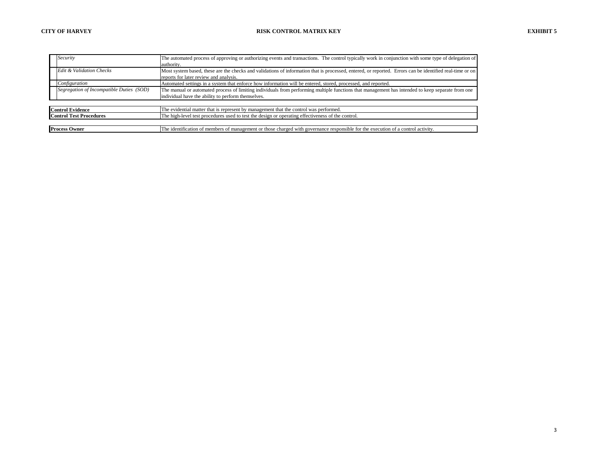| Security                               |                                          | The automated process of approving or authorizing events and transactions. The control typically work in conjunction with some type of delegation of     |  |  |  |  |  |
|----------------------------------------|------------------------------------------|----------------------------------------------------------------------------------------------------------------------------------------------------------|--|--|--|--|--|
|                                        |                                          | authority.                                                                                                                                               |  |  |  |  |  |
| Edit & Validation Checks               |                                          | Most system based, these are the checks and validations of information that is processed, entered, or reported. Errors can be identified real-time or on |  |  |  |  |  |
| reports for later review and analysis. |                                          |                                                                                                                                                          |  |  |  |  |  |
|                                        | Configuration                            | Automated settings in a system that enforce how information will be entered, stored, processed, and reported.                                            |  |  |  |  |  |
|                                        | Segregation of Incompatible Duties (SOD) | The manual or automated process of limiting individuals from performing multiple functions that management has intended to keep separate from one        |  |  |  |  |  |
|                                        |                                          | individual have the ability to perform themselves.                                                                                                       |  |  |  |  |  |
|                                        |                                          |                                                                                                                                                          |  |  |  |  |  |
|                                        | <b>Control Evidence</b>                  | The evidential matter that is represent by management that the control was performed.                                                                    |  |  |  |  |  |
| <b>Control Test Procedures</b>         |                                          | The high-level test procedures used to test the design or operating effectiveness of the control.                                                        |  |  |  |  |  |
|                                        |                                          |                                                                                                                                                          |  |  |  |  |  |
|                                        | <b>Process Owner</b>                     | The identification of members of management or those charged with governance responsible for the execution of a control activity.                        |  |  |  |  |  |